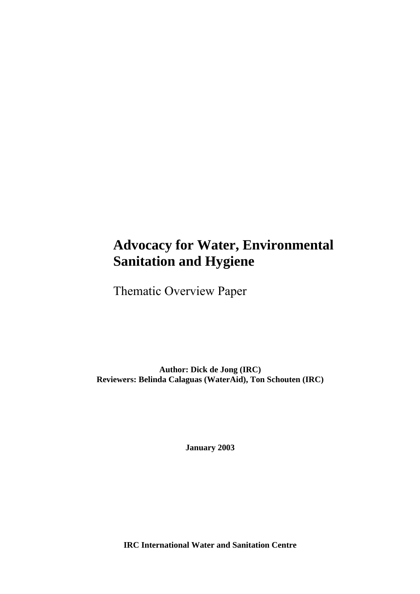# **Advocacy for Water, Environmental Sanitation and Hygiene**

Thematic Overview Paper

**Author: Dick de Jong (IRC) Reviewers: Belinda Calaguas (WaterAid), Ton Schouten (IRC)** 

**January 2003** 

**IRC International Water and Sanitation Centre**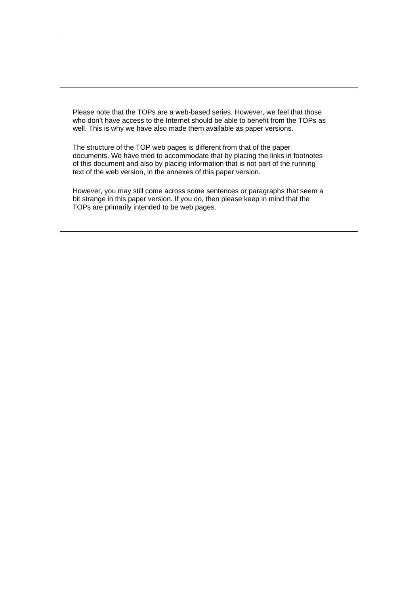Please note that the TOPs are a web-based series. However, we feel that those who don't have access to the Internet should be able to benefit from the TOPs as well. This is why we have also made them available as paper versions.

The structure of the TOP web pages is different from that of the paper documents. We have tried to accommodate that by placing the links in footnotes of this document and also by placing information that is not part of the running text of the web version, in the annexes of this paper version.

However, you may still come across some sentences or paragraphs that seem a bit strange in this paper version. If you do, then please keep in mind that the TOPs are primarily intended to be web pages.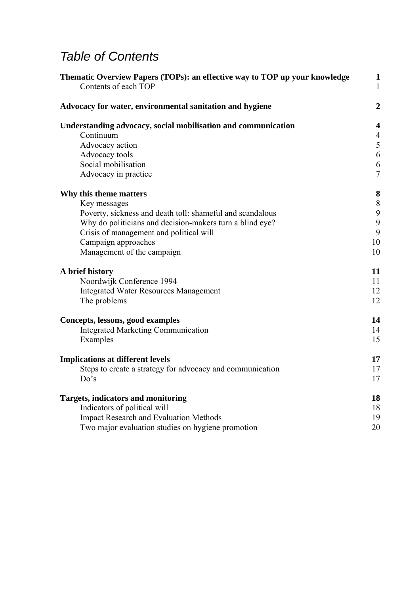# *Table of Contents*

| Thematic Overview Papers (TOPs): an effective way to TOP up your knowledge<br>Contents of each TOP |                  |
|----------------------------------------------------------------------------------------------------|------------------|
| Advocacy for water, environmental sanitation and hygiene                                           | $\boldsymbol{2}$ |
| Understanding advocacy, social mobilisation and communication                                      | 4                |
| Continuum                                                                                          | $\overline{4}$   |
| Advocacy action                                                                                    | 5                |
| Advocacy tools                                                                                     | 6                |
| Social mobilisation                                                                                | 6                |
| Advocacy in practice                                                                               | $\overline{7}$   |
| Why this theme matters                                                                             | 8                |
| Key messages                                                                                       | $8\,$            |
| Poverty, sickness and death toll: shameful and scandalous                                          | 9                |
| Why do politicians and decision-makers turn a blind eye?                                           | 9                |
| Crisis of management and political will                                                            | 9                |
| Campaign approaches                                                                                | 10               |
| Management of the campaign                                                                         | 10               |
| A brief history                                                                                    | 11               |
| Noordwijk Conference 1994                                                                          | 11               |
| <b>Integrated Water Resources Management</b>                                                       | 12               |
| The problems                                                                                       | 12               |
| Concepts, lessons, good examples                                                                   | 14               |
| <b>Integrated Marketing Communication</b>                                                          | 14               |
| Examples                                                                                           | 15               |
| <b>Implications at different levels</b>                                                            | 17               |
| Steps to create a strategy for advocacy and communication                                          | 17               |
| Do's                                                                                               | 17               |
| <b>Targets, indicators and monitoring</b>                                                          | 18               |
| Indicators of political will                                                                       | 18               |
| <b>Impact Research and Evaluation Methods</b>                                                      | 19               |
| Two major evaluation studies on hygiene promotion                                                  | 20               |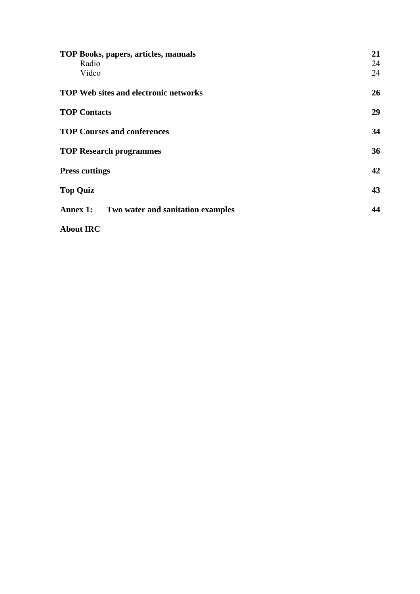| TOP Books, papers, articles, manuals<br>Radio<br>Video | 21<br>24<br>24 |
|--------------------------------------------------------|----------------|
| <b>TOP Web sites and electronic networks</b>           | 26             |
| <b>TOP Contacts</b>                                    | 29             |
| <b>TOP Courses and conferences</b>                     | 34             |
| <b>TOP Research programmes</b>                         | 36             |
| <b>Press cuttings</b>                                  | 42             |
| <b>Top Quiz</b>                                        | 43             |
| Annex 1:<br>Two water and sanitation examples          | 44             |
| <b>About IRC</b>                                       |                |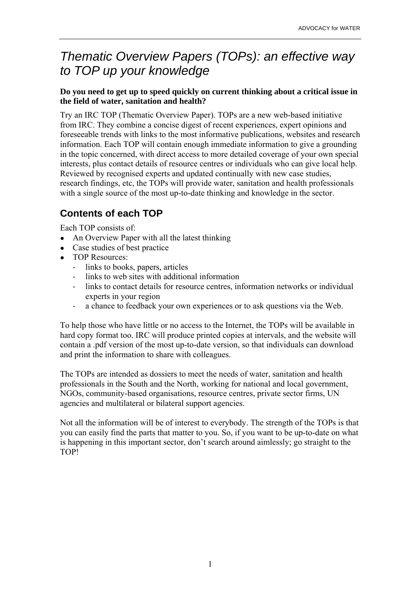# *Thematic Overview Papers (TOPs): an effective way to TOP up your knowledge*

#### **Do you need to get up to speed quickly on current thinking about a critical issue in the field of water, sanitation and health?**

Try an IRC TOP (Thematic Overview Paper). TOPs are a new web-based initiative from IRC. They combine a concise digest of recent experiences, expert opinions and foreseeable trends with links to the most informative publications, websites and research information. Each TOP will contain enough immediate information to give a grounding in the topic concerned, with direct access to more detailed coverage of your own special interests, plus contact details of resource centres or individuals who can give local help. Reviewed by recognised experts and updated continually with new case studies, research findings, etc, the TOPs will provide water, sanitation and health professionals with a single source of the most up-to-date thinking and knowledge in the sector.

## **Contents of each TOP**

Each TOP consists of:

- An Overview Paper with all the latest thinking
- Case studies of best practice
- TOP Resources:
	- links to books, papers, articles
	- links to web sites with additional information
	- links to contact details for resource centres, information networks or individual experts in your region
	- a chance to feedback your own experiences or to ask questions via the Web.

To help those who have little or no access to the Internet, the TOPs will be available in hard copy format too. IRC will produce printed copies at intervals, and the website will contain a .pdf version of the most up-to-date version, so that individuals can download and print the information to share with colleagues.

The TOPs are intended as dossiers to meet the needs of water, sanitation and health professionals in the South and the North, working for national and local government, NGOs, community-based organisations, resource centres, private sector firms, UN agencies and multilateral or bilateral support agencies.

Not all the information will be of interest to everybody. The strength of the TOPs is that you can easily find the parts that matter to you. So, if you want to be up-to-date on what is happening in this important sector, don't search around aimlessly; go straight to the TOP!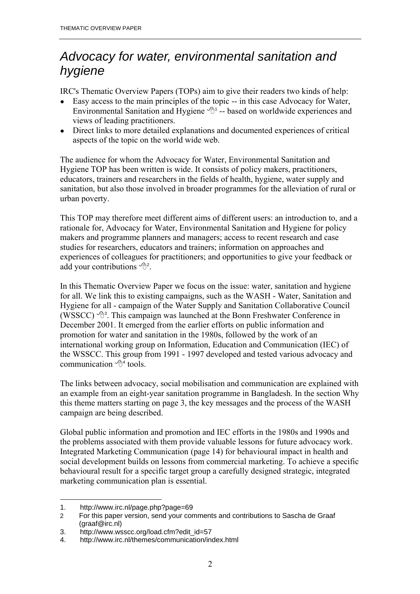# *Advocacy for water, environmental sanitation and hygiene*

IRC's Thematic Overview Papers (TOPs) aim to give their readers two kinds of help:

- Easy access to the main principles of the topic -- in this case Advocacy for Water, Environmental Sanitation and Hygiene  $\mathcal{A}$ <sup>1</sup> -- based on worldwide experiences and views of leading practitioners.
- Direct links to more detailed explanations and documented experiences of critical aspects of the topic on the world wide web.

The audience for whom the Advocacy for Water, Environmental Sanitation and Hygiene TOP has been written is wide. It consists of policy makers, practitioners, educators, trainers and researchers in the fields of health, hygiene, water supply and sanitation, but also those involved in broader programmes for the alleviation of rural or urban poverty.

This TOP may therefore meet different aims of different users: an introduction to, and a rationale for, Advocacy for Water, Environmental Sanitation and Hygiene for policy makers and programme planners and managers; access to recent research and case studies for researchers, educators and trainers; information on approaches and experiences of colleagues for practitioners; and opportunities to give your feedback or add your contributions  $\mathcal{P}^2$ .

In this Thematic Overview Paper we focus on the issue: water, sanitation and hygiene for all. We link this to existing campaigns, such as the WASH - Water, Sanitation and Hygiene for all - campaign of the Water Supply and Sanitation Collaborative Council (WSSCC)  $\mathcal{B}^3$ . This campaign was launched at the Bonn Freshwater Conference in December 2001. It emerged from the earlier efforts on public information and promotion for water and sanitation in the 1980s, followed by the work of an international working group on Information, Education and Communication (IEC) of the WSSCC. This group from 1991 - 1997 developed and tested various advocacy and communication  $\mathcal{A}^4$  tools.

The links between advocacy, social mobilisation and communication are explained with an example from an eight-year sanitation programme in Bangladesh. In the section Why this theme matters starting on page 3, the key messages and the process of the WASH campaign are being described.

Global public information and promotion and IEC efforts in the 1980s and 1990s and the problems associated with them provide valuable lessons for future advocacy work. Integrated Marketing Communication (page 14) for behavioural impact in health and social development builds on lessons from commercial marketing. To achieve a specific behavioural result for a specific target group a carefully designed strategic, integrated marketing communication plan is essential.

 $\overline{a}$ 1. http://www.irc.nl/page.php?page=69

<sup>2</sup> For this paper version, send your comments and contributions to Sascha de Graaf (graaf@irc.nl)

<sup>3.</sup> http://www.wsscc.org/load.cfm?edit\_id=57

<sup>4.</sup> http://www.irc.nl/themes/communication/index.html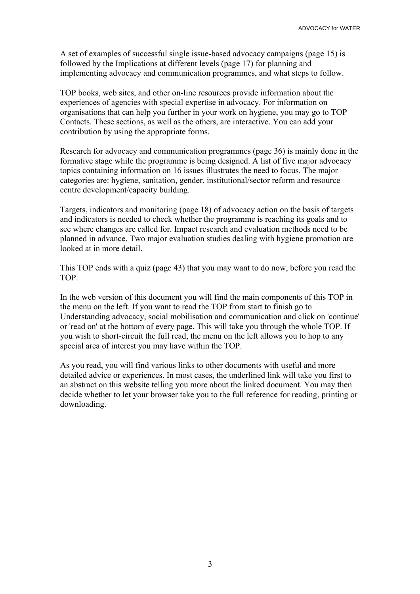A set of examples of successful single issue-based advocacy campaigns (page 15) is followed by the Implications at different levels (page 17) for planning and implementing advocacy and communication programmes, and what steps to follow.

TOP books, web sites, and other on-line resources provide information about the experiences of agencies with special expertise in advocacy. For information on organisations that can help you further in your work on hygiene, you may go to TOP Contacts. These sections, as well as the others, are interactive. You can add your contribution by using the appropriate forms.

Research for advocacy and communication programmes (page 36) is mainly done in the formative stage while the programme is being designed. A list of five major advocacy topics containing information on 16 issues illustrates the need to focus. The major categories are: hygiene, sanitation, gender, institutional/sector reform and resource centre development/capacity building.

Targets, indicators and monitoring (page 18) of advocacy action on the basis of targets and indicators is needed to check whether the programme is reaching its goals and to see where changes are called for. Impact research and evaluation methods need to be planned in advance. Two major evaluation studies dealing with hygiene promotion are looked at in more detail.

This TOP ends with a quiz (page 43) that you may want to do now, before you read the TOP.

In the web version of this document you will find the main components of this TOP in the menu on the left. If you want to read the TOP from start to finish go to Understanding advocacy, social mobilisation and communication and click on 'continue' or 'read on' at the bottom of every page. This will take you through the whole TOP. If you wish to short-circuit the full read, the menu on the left allows you to hop to any special area of interest you may have within the TOP.

As you read, you will find various links to other documents with useful and more detailed advice or experiences. In most cases, the underlined link will take you first to an abstract on this website telling you more about the linked document. You may then decide whether to let your browser take you to the full reference for reading, printing or downloading.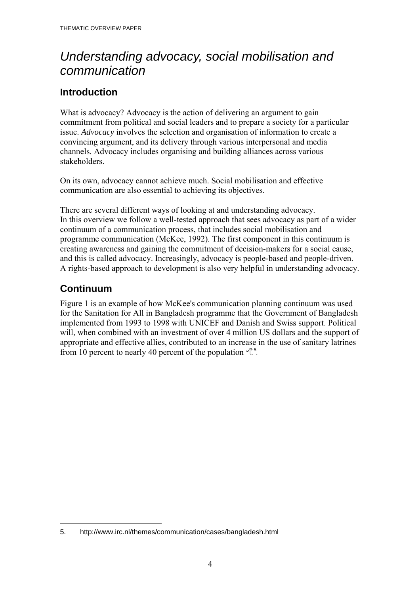# *Understanding advocacy, social mobilisation and communication*

## **Introduction**

What is advocacy? Advocacy is the action of delivering an argument to gain commitment from political and social leaders and to prepare a society for a particular issue. *Advocacy* involves the selection and organisation of information to create a convincing argument, and its delivery through various interpersonal and media channels. Advocacy includes organising and building alliances across various stakeholders.

On its own, advocacy cannot achieve much. Social mobilisation and effective communication are also essential to achieving its objectives.

There are several different ways of looking at and understanding advocacy. In this overview we follow a well-tested approach that sees advocacy as part of a wider continuum of a communication process, that includes social mobilisation and programme communication (McKee, 1992). The first component in this continuum is creating awareness and gaining the commitment of decision-makers for a social cause, and this is called advocacy. Increasingly, advocacy is people-based and people-driven. A rights-based approach to development is also very helpful in understanding advocacy.

## **Continuum**

 $\overline{a}$ 

Figure 1 is an example of how McKee's communication planning continuum was used for the Sanitation for All in Bangladesh programme that the Government of Bangladesh implemented from 1993 to 1998 with UNICEF and Danish and Swiss support. Political will, when combined with an investment of over 4 million US dollars and the support of appropriate and effective allies, contributed to an increase in the use of sanitary latrines from 10 percent to nearly 40 percent of the population  $\mathcal{B}^5$ .

<sup>5.</sup> http://www.irc.nl/themes/communication/cases/bangladesh.html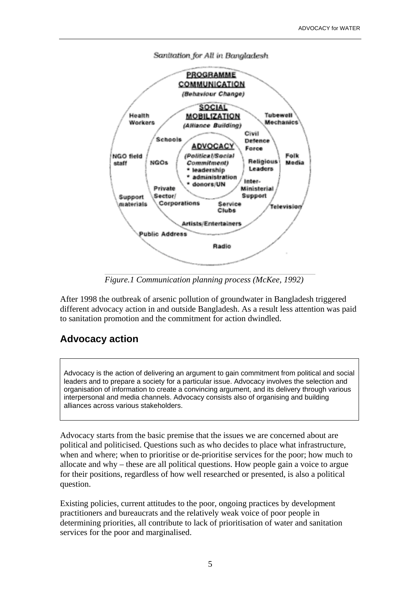

Sanitation for All in Bangladesh

*Figure.1 Communication planning process (McKee, 1992)*

After 1998 the outbreak of arsenic pollution of groundwater in Bangladesh triggered different advocacy action in and outside Bangladesh. As a result less attention was paid to sanitation promotion and the commitment for action dwindled.

### **Advocacy action**

Advocacy is the action of delivering an argument to gain commitment from political and social leaders and to prepare a society for a particular issue. Advocacy involves the selection and organisation of information to create a convincing argument, and its delivery through various interpersonal and media channels. Advocacy consists also of organising and building alliances across various stakeholders.

Advocacy starts from the basic premise that the issues we are concerned about are political and politicised. Questions such as who decides to place what infrastructure, when and where; when to prioritise or de-prioritise services for the poor; how much to allocate and why – these are all political questions. How people gain a voice to argue for their positions, regardless of how well researched or presented, is also a political question.

Existing policies, current attitudes to the poor, ongoing practices by development practitioners and bureaucrats and the relatively weak voice of poor people in determining priorities, all contribute to lack of prioritisation of water and sanitation services for the poor and marginalised.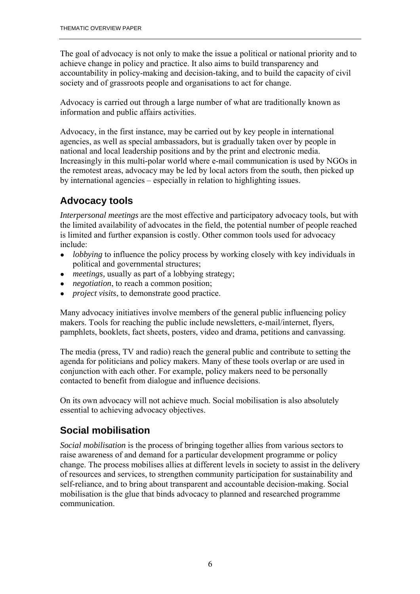The goal of advocacy is not only to make the issue a political or national priority and to achieve change in policy and practice. It also aims to build transparency and accountability in policy-making and decision-taking, and to build the capacity of civil society and of grassroots people and organisations to act for change.

Advocacy is carried out through a large number of what are traditionally known as information and public affairs activities.

Advocacy, in the first instance, may be carried out by key people in international agencies, as well as special ambassadors, but is gradually taken over by people in national and local leadership positions and by the print and electronic media. Increasingly in this multi-polar world where e-mail communication is used by NGOs in the remotest areas, advocacy may be led by local actors from the south, then picked up by international agencies – especially in relation to highlighting issues.

## **Advocacy tools**

*Interpersonal meetings* are the most effective and participatory advocacy tools, but with the limited availability of advocates in the field, the potential number of people reached is limited and further expansion is costly. Other common tools used for advocacy include:

- *lobbying* to influence the policy process by working closely with key individuals in political and governmental structures;
- *meetings*, usually as part of a lobbying strategy;
- *negotiation*, to reach a common position;
- *project visits*, to demonstrate good practice.

Many advocacy initiatives involve members of the general public influencing policy makers. Tools for reaching the public include newsletters, e-mail/internet, flyers, pamphlets, booklets, fact sheets, posters, video and drama, petitions and canvassing.

The media (press, TV and radio) reach the general public and contribute to setting the agenda for politicians and policy makers. Many of these tools overlap or are used in conjunction with each other. For example, policy makers need to be personally contacted to benefit from dialogue and influence decisions.

On its own advocacy will not achieve much. Social mobilisation is also absolutely essential to achieving advocacy objectives.

## **Social mobilisation**

*Social mobilisation* is the process of bringing together allies from various sectors to raise awareness of and demand for a particular development programme or policy change. The process mobilises allies at different levels in society to assist in the delivery of resources and services, to strengthen community participation for sustainability and self-reliance, and to bring about transparent and accountable decision-making. Social mobilisation is the glue that binds advocacy to planned and researched programme communication.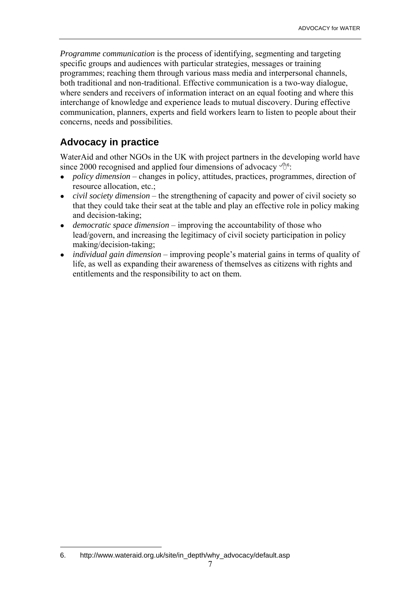*Programme communication* is the process of identifying, segmenting and targeting specific groups and audiences with particular strategies, messages or training programmes; reaching them through various mass media and interpersonal channels, both traditional and non-traditional. Effective communication is a two-way dialogue, where senders and receivers of information interact on an equal footing and where this interchange of knowledge and experience leads to mutual discovery. During effective communication, planners, experts and field workers learn to listen to people about their concerns, needs and possibilities.

## **Advocacy in practice**

WaterAid and other NGOs in the UK with project partners in the developing world have since 2000 recognised and applied four dimensions of advocacy  $\sqrt{ }$ <sup>6</sup>:

- *policy dimension* changes in policy, attitudes, practices, programmes, direction of resource allocation, etc.;
- *civil society dimension* the strengthening of capacity and power of civil society so that they could take their seat at the table and play an effective role in policy making and decision-taking;
- *democratic space dimension* improving the accountability of those who lead/govern, and increasing the legitimacy of civil society participation in policy making/decision-taking;
- *individual gain dimension* improving people's material gains in terms of quality of life, as well as expanding their awareness of themselves as citizens with rights and entitlements and the responsibility to act on them.

<sup>6.</sup> http://www.wateraid.org.uk/site/in\_depth/why\_advocacy/default.asp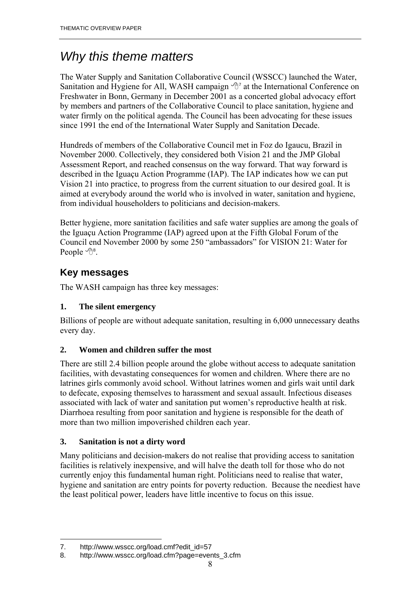# *Why this theme matters*

The Water Supply and Sanitation Collaborative Council (WSSCC) launched the Water, Sanitation and Hygiene for All, WASH campaign  $\partial^7$  at the International Conference on Freshwater in Bonn, Germany in December 2001 as a concerted global advocacy effort by members and partners of the Collaborative Council to place sanitation, hygiene and water firmly on the political agenda. The Council has been advocating for these issues since 1991 the end of the International Water Supply and Sanitation Decade.

Hundreds of members of the Collaborative Council met in Foz do Igaucu, Brazil in November 2000. Collectively, they considered both Vision 21 and the JMP Global Assessment Report, and reached consensus on the way forward. That way forward is described in the Iguaçu Action Programme (IAP). The IAP indicates how we can put Vision 21 into practice, to progress from the current situation to our desired goal. It is aimed at everybody around the world who is involved in water, sanitation and hygiene, from individual householders to politicians and decision-makers.

Better hygiene, more sanitation facilities and safe water supplies are among the goals of the Iguaçu Action Programme (IAP) agreed upon at the Fifth Global Forum of the Council end November 2000 by some 250 "ambassadors" for VISION 21: Water for People  $\mathcal{B}^8$ .

## **Key messages**

The WASH campaign has three key messages:

### **1. The silent emergency**

Billions of people are without adequate sanitation, resulting in 6,000 unnecessary deaths every day.

### **2. Women and children suffer the most**

There are still 2.4 billion people around the globe without access to adequate sanitation facilities, with devastating consequences for women and children. Where there are no latrines girls commonly avoid school. Without latrines women and girls wait until dark to defecate, exposing themselves to harassment and sexual assault. Infectious diseases associated with lack of water and sanitation put women's reproductive health at risk. Diarrhoea resulting from poor sanitation and hygiene is responsible for the death of more than two million impoverished children each year.

### **3. Sanitation is not a dirty word**

Many politicians and decision-makers do not realise that providing access to sanitation facilities is relatively inexpensive, and will halve the death toll for those who do not currently enjoy this fundamental human right. Politicians need to realise that water, hygiene and sanitation are entry points for poverty reduction. Because the neediest have the least political power, leaders have little incentive to focus on this issue.

<sup>7.</sup> http://www.wsscc.org/load.cmf?edit\_id=57

<sup>8.</sup> http://www.wsscc.org/load.cfm?page=events\_3.cfm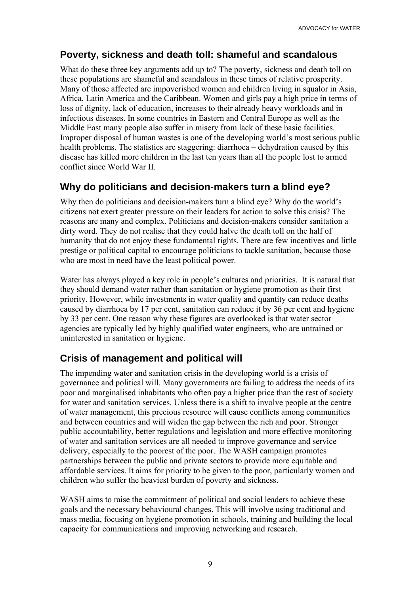### **Poverty, sickness and death toll: shameful and scandalous**

What do these three key arguments add up to? The poverty, sickness and death toll on these populations are shameful and scandalous in these times of relative prosperity. Many of those affected are impoverished women and children living in squalor in Asia, Africa, Latin America and the Caribbean. Women and girls pay a high price in terms of loss of dignity, lack of education, increases to their already heavy workloads and in infectious diseases. In some countries in Eastern and Central Europe as well as the Middle East many people also suffer in misery from lack of these basic facilities. Improper disposal of human wastes is one of the developing world's most serious public health problems. The statistics are staggering: diarrhoea  $-$  dehydration caused by this disease has killed more children in the last ten years than all the people lost to armed conflict since World War II.

## **Why do politicians and decision-makers turn a blind eye?**

Why then do politicians and decision-makers turn a blind eye? Why do the world's citizens not exert greater pressure on their leaders for action to solve this crisis? The reasons are many and complex. Politicians and decision-makers consider sanitation a dirty word. They do not realise that they could halve the death toll on the half of humanity that do not enjoy these fundamental rights. There are few incentives and little prestige or political capital to encourage politicians to tackle sanitation, because those who are most in need have the least political power.

Water has always played a key role in people's cultures and priorities. It is natural that they should demand water rather than sanitation or hygiene promotion as their first priority. However, while investments in water quality and quantity can reduce deaths caused by diarrhoea by 17 per cent, sanitation can reduce it by 36 per cent and hygiene by 33 per cent. One reason why these figures are overlooked is that water sector agencies are typically led by highly qualified water engineers, who are untrained or uninterested in sanitation or hygiene.

## **Crisis of management and political will**

The impending water and sanitation crisis in the developing world is a crisis of governance and political will. Many governments are failing to address the needs of its poor and marginalised inhabitants who often pay a higher price than the rest of society for water and sanitation services. Unless there is a shift to involve people at the centre of water management, this precious resource will cause conflicts among communities and between countries and will widen the gap between the rich and poor. Stronger public accountability, better regulations and legislation and more effective monitoring of water and sanitation services are all needed to improve governance and service delivery, especially to the poorest of the poor. The WASH campaign promotes partnerships between the public and private sectors to provide more equitable and affordable services. It aims for priority to be given to the poor, particularly women and children who suffer the heaviest burden of poverty and sickness.

WASH aims to raise the commitment of political and social leaders to achieve these goals and the necessary behavioural changes. This will involve using traditional and mass media, focusing on hygiene promotion in schools, training and building the local capacity for communications and improving networking and research.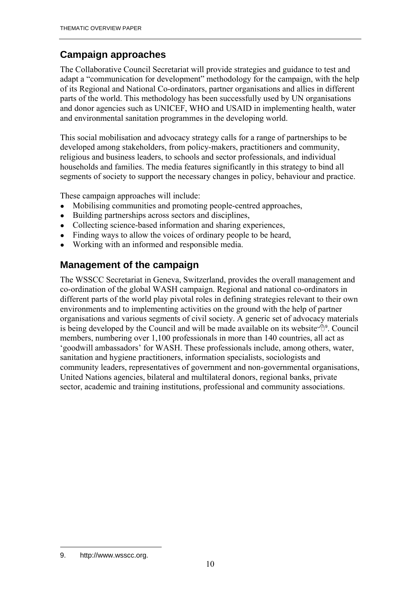## **Campaign approaches**

The Collaborative Council Secretariat will provide strategies and guidance to test and adapt a "communication for development" methodology for the campaign, with the help of its Regional and National Co-ordinators, partner organisations and allies in different parts of the world. This methodology has been successfully used by UN organisations and donor agencies such as UNICEF, WHO and USAID in implementing health, water and environmental sanitation programmes in the developing world.

This social mobilisation and advocacy strategy calls for a range of partnerships to be developed among stakeholders, from policy-makers, practitioners and community, religious and business leaders, to schools and sector professionals, and individual households and families. The media features significantly in this strategy to bind all segments of society to support the necessary changes in policy, behaviour and practice.

These campaign approaches will include:

- Mobilising communities and promoting people-centred approaches,
- Building partnerships across sectors and disciplines,
- Collecting science-based information and sharing experiences,
- Finding ways to allow the voices of ordinary people to be heard,
- Working with an informed and responsible media.

## **Management of the campaign**

The WSSCC Secretariat in Geneva, Switzerland, provides the overall management and co-ordination of the global WASH campaign. Regional and national co-ordinators in different parts of the world play pivotal roles in defining strategies relevant to their own environments and to implementing activities on the ground with the help of partner organisations and various segments of civil society. A generic set of advocacy materials is being developed by the Council and will be made available on its website  $\theta$ <sup>9</sup>. Council members, numbering over 1,100 professionals in more than 140 countries, all act as 'goodwill ambassadors' for WASH. These professionals include, among others, water, sanitation and hygiene practitioners, information specialists, sociologists and community leaders, representatives of government and non-governmental organisations, United Nations agencies, bilateral and multilateral donors, regional banks, private sector, academic and training institutions, professional and community associations.

 $\overline{a}$ 9. http://www.wsscc.org.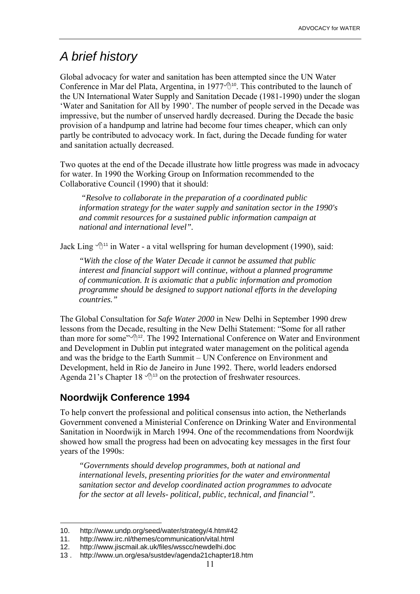## *A brief history*

Global advocacy for water and sanitation has been attempted since the UN Water Conference in Mar del Plata, Argentina, in 1977 $\sqrt{2}$ <sup>10</sup>. This contributed to the launch of the UN International Water Supply and Sanitation Decade (1981-1990) under the slogan ëWater and Sanitation for All by 1990í. The number of people served in the Decade was impressive, but the number of unserved hardly decreased. During the Decade the basic provision of a handpump and latrine had become four times cheaper, which can only partly be contributed to advocacy work. In fact, during the Decade funding for water and sanitation actually decreased.

Two quotes at the end of the Decade illustrate how little progress was made in advocacy for water. In 1990 the Working Group on Information recommended to the Collaborative Council (1990) that it should:

 *"Resolve to collaborate in the preparation of a coordinated public information strategy for the water supply and sanitation sector in the 1990's and commit resources for a sustained public information campaign at national and international level".* 

Jack Ling  $\mathcal{P}^{11}$  in Water - a vital wellspring for human development (1990), said:

*"With the close of the Water Decade it cannot be assumed that public interest and financial support will continue, without a planned programme of communication. It is axiomatic that a public information and promotion programme should be designed to support national efforts in the developing countries."* 

The Global Consultation for *Safe Water 2000* in New Delhi in September 1990 drew lessons from the Decade, resulting in the New Delhi Statement: "Some for all rather than more for some" $\sqrt{\theta}$ <sup>12</sup>. The 1992 International Conference on Water and Environment and Development in Dublin put integrated water management on the political agenda and was the bridge to the Earth Summit – UN Conference on Environment and Development, held in Rio de Janeiro in June 1992. There, world leaders endorsed Agenda 21's Chapter 18  $\sqrt{13}$  on the protection of freshwater resources.

### **Noordwijk Conference 1994**

To help convert the professional and political consensus into action, the Netherlands Government convened a Ministerial Conference on Drinking Water and Environmental Sanitation in Noordwijk in March 1994. One of the recommendations from Noordwijk showed how small the progress had been on advocating key messages in the first four years of the 1990s:

*"Governments should develop programmes, both at national and international levels, presenting priorities for the water and environmental sanitation sector and develop coordinated action programmes to advocate for the sector at all levels- political, public, technical, and financial".* 

 $\overline{a}$ 10. http://www.undp.org/seed/water/strategy/4.htm#42

<sup>11.</sup> http://www.irc.nl/themes/communication/vital.html

<sup>12.</sup> http://www.jiscmail.ak.uk/files/wsscc/newdelhi.doc

<sup>13 .</sup> http://www.un.org/esa/sustdev/agenda21chapter18.htm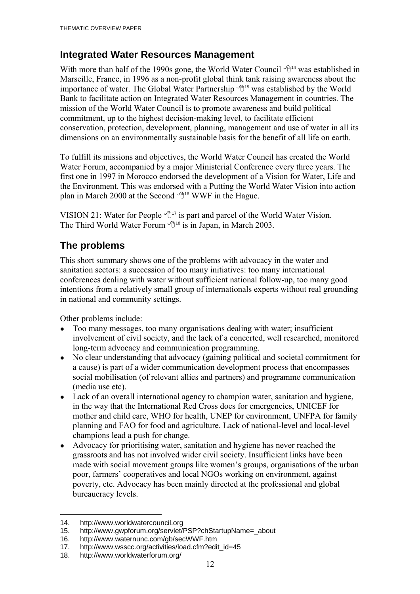### **Integrated Water Resources Management**

With more than half of the 1990s gone, the World Water Council  $\mathcal{A}^{14}$  was established in Marseille, France, in 1996 as a non-profit global think tank raising awareness about the importance of water. The Global Water Partnership  $\mathcal{A}^{15}$  was established by the World Bank to facilitate action on Integrated Water Resources Management in countries. The mission of the World Water Council is to promote awareness and build political commitment, up to the highest decision-making level, to facilitate efficient conservation, protection, development, planning, management and use of water in all its dimensions on an environmentally sustainable basis for the benefit of all life on earth.

To fulfill its missions and objectives, the World Water Council has created the World Water Forum, accompanied by a major Ministerial Conference every three years. The first one in 1997 in Morocco endorsed the development of a Vision for Water, Life and the Environment. This was endorsed with a Putting the World Water Vision into action plan in March 2000 at the Second  $\mathcal{A}^{16}$  WWF in the Hague.

VISION 21: Water for People  $\mathcal{P}^{17}$  is part and parcel of the World Water Vision. The Third World Water Forum  $\mathcal{L}^{18}$  is in Japan, in March 2003.

## **The problems**

This short summary shows one of the problems with advocacy in the water and sanitation sectors: a succession of too many initiatives: too many international conferences dealing with water without sufficient national follow-up, too many good intentions from a relatively small group of internationals experts without real grounding in national and community settings.

Other problems include:

- Too many messages, too many organisations dealing with water; insufficient involvement of civil society, and the lack of a concerted, well researched, monitored long-term advocacy and communication programming.
- No clear understanding that advocacy (gaining political and societal commitment for a cause) is part of a wider communication development process that encompasses social mobilisation (of relevant allies and partners) and programme communication (media use etc).
- Lack of an overall international agency to champion water, sanitation and hygiene, in the way that the International Red Cross does for emergencies, UNICEF for mother and child care, WHO for health, UNEP for environment, UNFPA for family planning and FAO for food and agriculture. Lack of national-level and local-level champions lead a push for change.
- Advocacy for prioritising water, sanitation and hygiene has never reached the grassroots and has not involved wider civil society. Insufficient links have been made with social movement groups like women's groups, organisations of the urban poor, farmers' cooperatives and local NGOs working on environment, against poverty, etc. Advocacy has been mainly directed at the professional and global bureaucracy levels.

 $\overline{a}$ 14. http://www.worldwatercouncil.org

<sup>15.</sup> http://www.gwpforum.org/servlet/PSP?chStartupName=\_about

<sup>16.</sup> http://www.waternunc.com/gb/secWWF.htm<br>17. http://www.wsscc.org/activities/load.cfm?edi

http://www.wsscc.org/activities/load.cfm?edit\_id=45

<sup>18.</sup> http://www.worldwaterforum.org/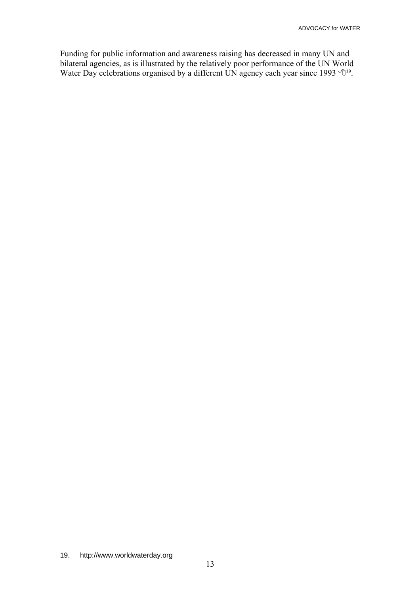Funding for public information and awareness raising has decreased in many UN and bilateral agencies, as is illustrated by the relatively poor performance of the UN World Water Day celebrations organised by a different UN agency each year since 1993  $\sqrt{\theta}$ <sup>19</sup>.

 $\overline{a}$ 19. http://www.worldwaterday.org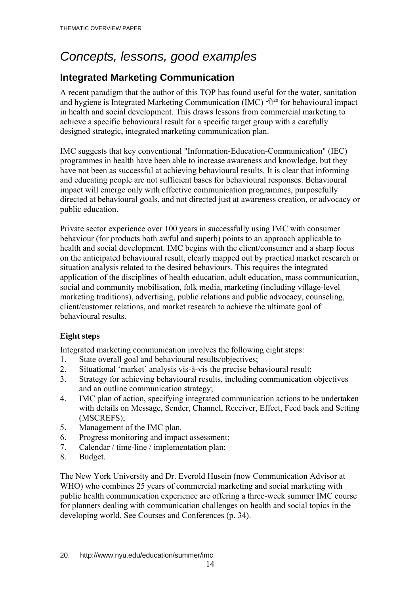# *Concepts, lessons, good examples*

## **Integrated Marketing Communication**

A recent paradigm that the author of this TOP has found useful for the water, sanitation and hygiene is Integrated Marketing Communication (IMC)  $\mathcal{P}^{20}$  for behavioural impact in health and social development. This draws lessons from commercial marketing to achieve a specific behavioural result for a specific target group with a carefully designed strategic, integrated marketing communication plan.

IMC suggests that key conventional "Information-Education-Communication" (IEC) programmes in health have been able to increase awareness and knowledge, but they have not been as successful at achieving behavioural results. It is clear that informing and educating people are not sufficient bases for behavioural responses. Behavioural impact will emerge only with effective communication programmes, purposefully directed at behavioural goals, and not directed just at awareness creation, or advocacy or public education.

Private sector experience over 100 years in successfully using IMC with consumer behaviour (for products both awful and superb) points to an approach applicable to health and social development. IMC begins with the client/consumer and a sharp focus on the anticipated behavioural result, clearly mapped out by practical market research or situation analysis related to the desired behaviours. This requires the integrated application of the disciplines of health education, adult education, mass communication, social and community mobilisation, folk media, marketing (including village-level marketing traditions), advertising, public relations and public advocacy, counseling, client/customer relations, and market research to achieve the ultimate goal of behavioural results.

### **Eight steps**

Integrated marketing communication involves the following eight steps:

- 1. State overall goal and behavioural results/objectives;
- 2. Situational 'market' analysis vis-à-vis the precise behavioural result;
- 3. Strategy for achieving behavioural results, including communication objectives and an outline communication strategy;
- 4. IMC plan of action, specifying integrated communication actions to be undertaken with details on Message, Sender, Channel, Receiver, Effect, Feed back and Setting (MSCREFS);
- 5. Management of the IMC plan.
- 6. Progress monitoring and impact assessment;
- 7. Calendar / time-line / implementation plan;
- 8. Budget.

The New York University and Dr. Everold Husein (now Communication Advisor at WHO) who combines 25 years of commercial marketing and social marketing with public health communication experience are offering a three-week summer IMC course for planners dealing with communication challenges on health and social topics in the developing world. See Courses and Conferences (p. 34).

 $\overline{a}$ 20. http://www.nyu.edu/education/summer/imc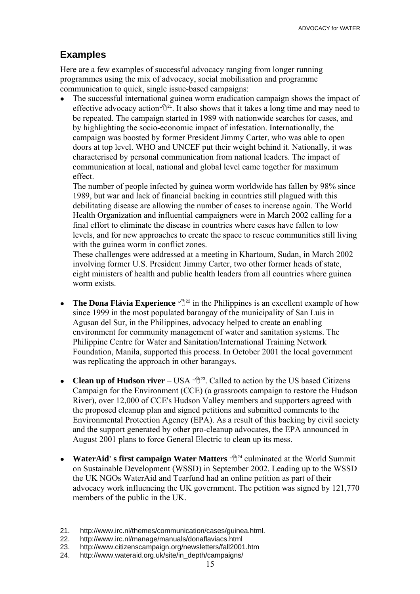### **Examples**

Here are a few examples of successful advocacy ranging from longer running programmes using the mix of advocacy, social mobilisation and programme communication to quick, single issue-based campaigns:

• The successful international guinea worm eradication campaign shows the impact of effective advocacy action  $\mathbb{B}^{21}$ . It also shows that it takes a long time and may need to be repeated. The campaign started in 1989 with nationwide searches for cases, and by highlighting the socio-economic impact of infestation. Internationally, the campaign was boosted by former President Jimmy Carter, who was able to open doors at top level. WHO and UNCEF put their weight behind it. Nationally, it was characterised by personal communication from national leaders. The impact of communication at local, national and global level came together for maximum effect.

The number of people infected by guinea worm worldwide has fallen by 98% since 1989, but war and lack of financial backing in countries still plagued with this debilitating disease are allowing the number of cases to increase again. The World Health Organization and influential campaigners were in March 2002 calling for a final effort to eliminate the disease in countries where cases have fallen to low levels, and for new approaches to create the space to rescue communities still living with the guinea worm in conflict zones.

These challenges were addressed at a meeting in Khartoum, Sudan, in March 2002 involving former U.S. President Jimmy Carter, two other former heads of state, eight ministers of health and public health leaders from all countries where guinea worm exists.

- **The Dona Flávia Experience**  $\sqrt{\theta^{22}}$  in the Philippines is an excellent example of how since 1999 in the most populated barangay of the municipality of San Luis in Agusan del Sur, in the Philippines, advocacy helped to create an enabling environment for community management of water and sanitation systems. The Philippine Centre for Water and Sanitation/International Training Network Foundation, Manila, supported this process. In October 2001 the local government was replicating the approach in other barangays.
- **Clean up of Hudson river** USA  $\forall \exists$ <sup>23</sup>. Called to action by the US based Citizens Campaign for the Environment (CCE) (a grassroots campaign to restore the Hudson River), over 12,000 of CCE's Hudson Valley members and supporters agreed with the proposed cleanup plan and signed petitions and submitted comments to the Environmental Protection Agency (EPA). As a result of this backing by civil society and the support generated by other pro-cleanup advocates, the EPA announced in August 2001 plans to force General Electric to clean up its mess.
- **WaterAid' s first campaign Water Matters**  $\oplus$ <sup>24</sup> culminated at the World Summit on Sustainable Development (WSSD) in September 2002. Leading up to the WSSD the UK NGOs WaterAid and Tearfund had an online petition as part of their advocacy work influencing the UK government. The petition was signed by 121,770 members of the public in the UK.

<sup>21.</sup> http://www.irc.nl/themes/communication/cases/guinea.html.

<sup>22.</sup> http://www.irc.nl/manage/manuals/donaflaviacs.html

<sup>23.</sup> http://www.citizenscampaign.org/newsletters/fall2001.htm

<sup>24.</sup> http://www.wateraid.org.uk/site/in\_depth/campaigns/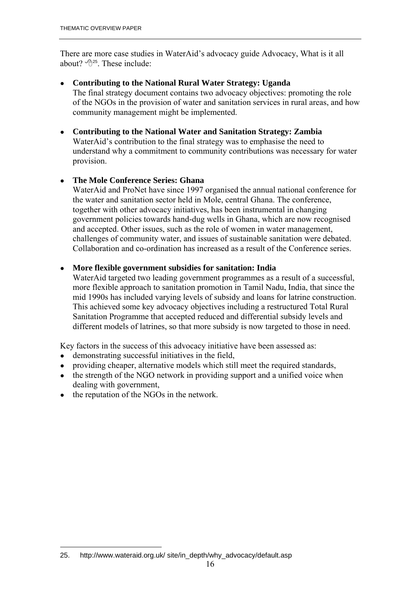There are more case studies in WaterAid's advocacy guide Advocacy, What is it all about?  $\mathcal{P}^{25}$ . These include:

● **Contributing to the National Rural Water Strategy: Uganda** 

The final strategy document contains two advocacy objectives: promoting the role of the NGOs in the provision of water and sanitation services in rural areas, and how community management might be implemented.

● **Contributing to the National Water and Sanitation Strategy: Zambia** WaterAid's contribution to the final strategy was to emphasise the need to understand why a commitment to community contributions was necessary for water provision.

#### ● **The Mole Conference Series: Ghana**

WaterAid and ProNet have since 1997 organised the annual national conference for the water and sanitation sector held in Mole, central Ghana. The conference, together with other advocacy initiatives, has been instrumental in changing government policies towards hand-dug wells in Ghana, which are now recognised and accepted. Other issues, such as the role of women in water management, challenges of community water, and issues of sustainable sanitation were debated. Collaboration and co-ordination has increased as a result of the Conference series.

#### ● **More flexible government subsidies for sanitation: India**

WaterAid targeted two leading government programmes as a result of a successful, more flexible approach to sanitation promotion in Tamil Nadu, India, that since the mid 1990s has included varying levels of subsidy and loans for latrine construction. This achieved some key advocacy objectives including a restructured Total Rural Sanitation Programme that accepted reduced and differential subsidy levels and different models of latrines, so that more subsidy is now targeted to those in need.

Key factors in the success of this advocacy initiative have been assessed as:

- demonstrating successful initiatives in the field,
- providing cheaper, alternative models which still meet the required standards,
- the strength of the NGO network in providing support and a unified voice when dealing with government,
- the reputation of the NGOs in the network.

<sup>25.</sup> http://www.wateraid.org.uk/ site/in\_depth/why\_advocacy/default.asp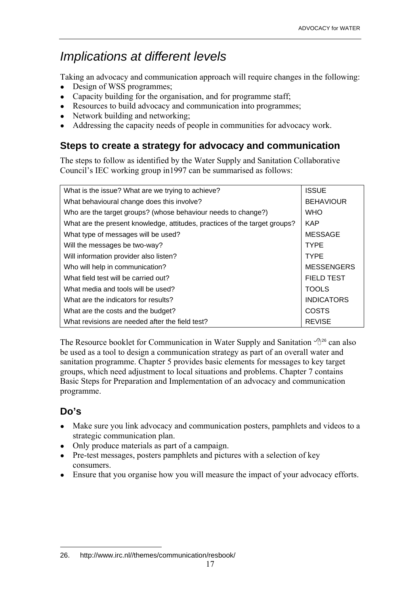# *Implications at different levels*

Taking an advocacy and communication approach will require changes in the following:

- Design of WSS programmes;
- Capacity building for the organisation, and for programme staff;
- Resources to build advocacy and communication into programmes;
- Network building and networking;
- Addressing the capacity needs of people in communities for advocacy work.

### **Steps to create a strategy for advocacy and communication**

The steps to follow as identified by the Water Supply and Sanitation Collaborative Council's IEC working group in1997 can be summarised as follows:

| What is the issue? What are we trying to achieve?                          | <b>ISSUE</b>      |
|----------------------------------------------------------------------------|-------------------|
| What behavioural change does this involve?                                 | <b>BEHAVIOUR</b>  |
| Who are the target groups? (whose behaviour needs to change?)              | <b>WHO</b>        |
| What are the present knowledge, attitudes, practices of the target groups? | <b>KAP</b>        |
| What type of messages will be used?                                        | <b>MESSAGE</b>    |
| Will the messages be two-way?                                              | <b>TYPE</b>       |
| Will information provider also listen?                                     | <b>TYPE</b>       |
| Who will help in communication?                                            | <b>MESSENGERS</b> |
| What field test will be carried out?                                       | <b>FIELD TEST</b> |
| What media and tools will be used?                                         | <b>TOOLS</b>      |
| What are the indicators for results?                                       | <b>INDICATORS</b> |
| What are the costs and the budget?                                         | COSTS             |
| What revisions are needed after the field test?                            | <b>REVISE</b>     |

The Resource booklet for Communication in Water Supply and Sanitation  $\mathcal{P}^{26}$  can also be used as a tool to design a communication strategy as part of an overall water and sanitation programme. Chapter 5 provides basic elements for messages to key target groups, which need adjustment to local situations and problems. Chapter 7 contains Basic Steps for Preparation and Implementation of an advocacy and communication programme.

## **Do's**

- Make sure you link advocacy and communication posters, pamphlets and videos to a strategic communication plan.
- Only produce materials as part of a campaign.
- Pre-test messages, posters pamphlets and pictures with a selection of key consumers.
- Ensure that you organise how you will measure the impact of your advocacy efforts.

 $\overline{a}$ 26. http://www.irc.nl//themes/communication/resbook/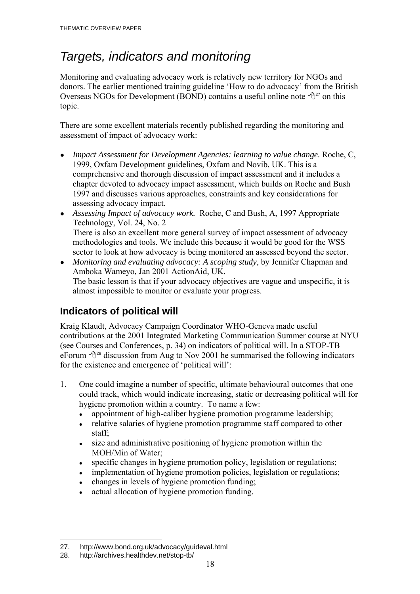# *Targets, indicators and monitoring*

Monitoring and evaluating advocacy work is relatively new territory for NGOs and donors. The earlier mentioned training guideline 'How to do advocacy' from the British Overseas NGOs for Development (BOND) contains a useful online note  $\sqrt{2}^{27}$  on this topic.

There are some excellent materials recently published regarding the monitoring and assessment of impact of advocacy work:

- *Impact Assessment for Development Agencies: learning to value change.* Roche, C, 1999, Oxfam Development guidelines, Oxfam and Novib, UK. This is a comprehensive and thorough discussion of impact assessment and it includes a chapter devoted to advocacy impact assessment, which builds on Roche and Bush 1997 and discusses various approaches, constraints and key considerations for assessing advocacy impact.
- *Assessing Impact of advocacy work.* Roche, C and Bush, A, 1997 Appropriate Technology, Vol. 24, No. 2 There is also an excellent more general survey of impact assessment of advocacy methodologies and tools. We include this because it would be good for the WSS sector to look at how advocacy is being monitored an assessed beyond the sector.
- *Monitoring and evaluating advocacy: A scoping study*, by Jennifer Chapman and Amboka Wameyo, Jan 2001 ActionAid, UK. The basic lesson is that if your advocacy objectives are vague and unspecific, it is almost impossible to monitor or evaluate your progress.

## **Indicators of political will**

Kraig Klaudt, Advocacy Campaign Coordinator WHO-Geneva made useful contributions at the 2001 Integrated Marketing Communication Summer course at NYU (see Courses and Conferences, p. 34) on indicators of political will. In a STOP-TB eForum  $\sqrt{2}^{28}$  discussion from Aug to Nov 2001 he summarised the following indicators for the existence and emergence of 'political will':

- 1. One could imagine a number of specific, ultimate behavioural outcomes that one could track, which would indicate increasing, static or decreasing political will for hygiene promotion within a country. To name a few:
	- appointment of high-caliber hygiene promotion programme leadership;
	- relative salaries of hygiene promotion programme staff compared to other staff;
	- size and administrative positioning of hygiene promotion within the MOH/Min of Water;
	- specific changes in hygiene promotion policy, legislation or regulations;
	- implementation of hygiene promotion policies, legislation or regulations;
	- changes in levels of hygiene promotion funding;
	- actual allocation of hygiene promotion funding.

<sup>27.</sup> http://www.bond.org.uk/advocacy/guideval.html

<sup>28.</sup> http://archives.healthdev.net/stop-tb/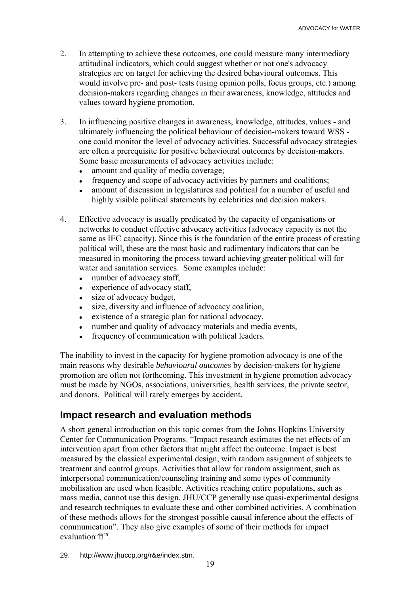- 2. In attempting to achieve these outcomes, one could measure many intermediary attitudinal indicators, which could suggest whether or not one's advocacy strategies are on target for achieving the desired behavioural outcomes. This would involve pre- and post- tests (using opinion polls, focus groups, etc.) among decision-makers regarding changes in their awareness, knowledge, attitudes and values toward hygiene promotion.
- 3. In influencing positive changes in awareness, knowledge, attitudes, values and ultimately influencing the political behaviour of decision-makers toward WSS one could monitor the level of advocacy activities. Successful advocacy strategies are often a prerequisite for positive behavioural outcomes by decision-makers. Some basic measurements of advocacy activities include:
	- amount and quality of media coverage;
	- frequency and scope of advocacy activities by partners and coalitions;
	- amount of discussion in legislatures and political for a number of useful and highly visible political statements by celebrities and decision makers.
- 4. Effective advocacy is usually predicated by the capacity of organisations or networks to conduct effective advocacy activities (advocacy capacity is not the same as IEC capacity). Since this is the foundation of the entire process of creating political will, these are the most basic and rudimentary indicators that can be measured in monitoring the process toward achieving greater political will for water and sanitation services. Some examples include:
	- number of advocacy staff,
	- experience of advocacy staff,
	- size of advocacy budget,
	- size, diversity and influence of advocacy coalition,
	- $\bullet$  existence of a strategic plan for national advocacy,
	- number and quality of advocacy materials and media events,
	- frequency of communication with political leaders.

The inability to invest in the capacity for hygiene promotion advocacy is one of the main reasons why desirable *behavioural outcomes* by decision-makers for hygiene promotion are often not forthcoming. This investment in hygiene promotion advocacy must be made by NGOs, associations, universities, health services, the private sector, and donors. Political will rarely emerges by accident.

### **Impact research and evaluation methods**

A short general introduction on this topic comes from the Johns Hopkins University Center for Communication Programs. "Impact research estimates the net effects of an intervention apart from other factors that might affect the outcome. Impact is best measured by the classical experimental design, with random assignment of subjects to treatment and control groups. Activities that allow for random assignment, such as interpersonal communication/counseling training and some types of community mobilisation are used when feasible. Activities reaching entire populations, such as mass media, cannot use this design. JHU/CCP generally use quasi-experimental designs and research techniques to evaluate these and other combined activities. A combination of these methods allows for the strongest possible causal inference about the effects of communicationî. They also give examples of some of their methods for impact evaluation  $\mathbb{P}^{29}$ .

 $\overline{a}$ 29. http://www.jhuccp.org/r&e/index.stm.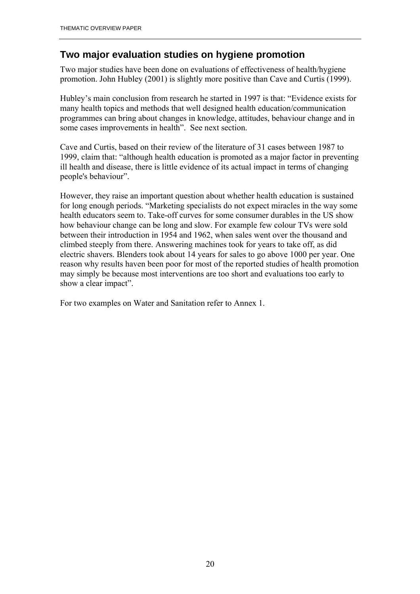### **Two major evaluation studies on hygiene promotion**

Two major studies have been done on evaluations of effectiveness of health/hygiene promotion. John Hubley (2001) is slightly more positive than Cave and Curtis (1999).

Hubley's main conclusion from research he started in 1997 is that: "Evidence exists for many health topics and methods that well designed health education/communication programmes can bring about changes in knowledge, attitudes, behaviour change and in some cases improvements in health". See next section.

Cave and Curtis, based on their review of the literature of 31 cases between 1987 to 1999, claim that: "although health education is promoted as a major factor in preventing ill health and disease, there is little evidence of its actual impact in terms of changing people's behaviour".

However, they raise an important question about whether health education is sustained for long enough periods. "Marketing specialists do not expect miracles in the way some health educators seem to. Take-off curves for some consumer durables in the US show how behaviour change can be long and slow. For example few colour TVs were sold between their introduction in 1954 and 1962, when sales went over the thousand and climbed steeply from there. Answering machines took for years to take off, as did electric shavers. Blenders took about 14 years for sales to go above 1000 per year. One reason why results haven been poor for most of the reported studies of health promotion may simply be because most interventions are too short and evaluations too early to show a clear impact".

For two examples on Water and Sanitation refer to Annex 1.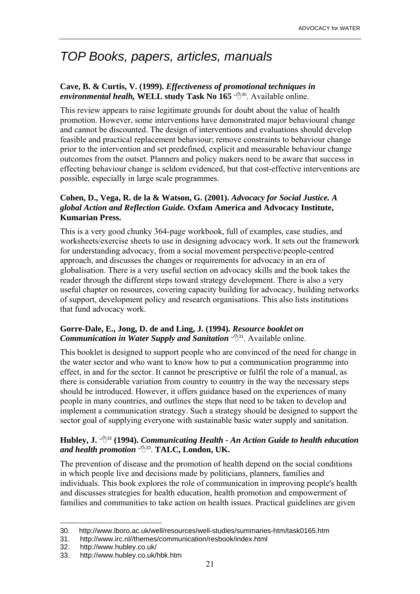# *TOP Books, papers, articles, manuals*

#### **Cave, B. & Curtis, V. (1999).** *Effectiveness of promotional techniques in environmental healh,* WELL study Task No 165 <sup> $\oplus$ 30</sup>. Available online.

This review appears to raise legitimate grounds for doubt about the value of health promotion. However, some interventions have demonstrated major behavioural change and cannot be discounted. The design of interventions and evaluations should develop feasible and practical replacement behaviour; remove constraints to behaviour change prior to the intervention and set predefined, explicit and measurable behaviour change outcomes from the outset. Planners and policy makers need to be aware that success in effecting behaviour change is seldom evidenced, but that cost-effective interventions are possible, especially in large scale programmes.

#### **Cohen, D., Vega, R. de la & Watson, G. (2001).** *Advocacy for Social Justice. A global Action and Reflection Guide.* **Oxfam America and Advocacy Institute, Kumarian Press.**

This is a very good chunky 364-page workbook, full of examples, case studies, and worksheets/exercise sheets to use in designing advocacy work. It sets out the framework for understanding advocacy, from a social movement perspective/people-centred approach, and discusses the changes or requirements for advocacy in an era of globalisation. There is a very useful section on advocacy skills and the book takes the reader through the different steps toward strategy development. There is also a very useful chapter on resources, covering capacity building for advocacy, building networks of support, development policy and research organisations. This also lists institutions that fund advocacy work.

#### **Gorre-Dale, E., Jong, D. de and Ling, J. (1994).** *Resource booklet on Communication in Water Supply and Sanitation*  $\Theta$ <sup>31</sup>. Available online.

This booklet is designed to support people who are convinced of the need for change in the water sector and who want to know how to put a communication programme into effect, in and for the sector. It cannot be prescriptive or fulfil the role of a manual, as there is considerable variation from country to country in the way the necessary steps should be introduced. However, it offers guidance based on the experiences of many people in many countries, and outlines the steps that need to be taken to develop and implement a communication strategy. Such a strategy should be designed to support the sector goal of supplying everyone with sustainable basic water supply and sanitation.

#### **Hubley, J.** !32 **(1994).** *Communicating Health - An Action Guide to health education and health promotion* !33. **TALC, London, UK.**

The prevention of disease and the promotion of health depend on the social conditions in which people live and decisions made by politicians, planners, families and individuals. This book explores the role of communication in improving people's health and discusses strategies for health education, health promotion and empowerment of families and communities to take action on health issues. Practical guidelines are given

<sup>30.</sup> http://www.lboro.ac.uk/well/resources/well-studies/summaries-htm/task0165.htm

<sup>31.</sup> http://www.irc.nl//themes/communication/resbook/index.html

<sup>32.</sup> http://www.hubley.co.uk/

<sup>33.</sup> http://www.hubley.co.uk/hbk.htm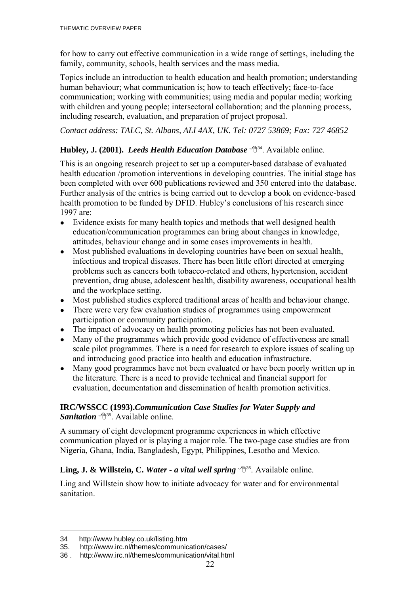for how to carry out effective communication in a wide range of settings, including the family, community, schools, health services and the mass media.

Topics include an introduction to health education and health promotion; understanding human behaviour; what communication is; how to teach effectively; face-to-face communication; working with communities; using media and popular media; working with children and young people; intersectoral collaboration; and the planning process, including research, evaluation, and preparation of project proposal.

*Contact address: TALC, St. Albans, ALI 4AX, UK. Tel: 0727 53869; Fax: 727 46852*

#### **Hubley, J. (2001).** *Leeds Health Education Database*  $\sqrt{3}^{34}$ . Available online.

This is an ongoing research project to set up a computer-based database of evaluated health education /promotion interventions in developing countries. The initial stage has been completed with over 600 publications reviewed and 350 entered into the database. Further analysis of the entries is being carried out to develop a book on evidence-based health promotion to be funded by DFID. Hubley's conclusions of his research since 1997 are:

- Evidence exists for many health topics and methods that well designed health education/communication programmes can bring about changes in knowledge, attitudes, behaviour change and in some cases improvements in health.
- Most published evaluations in developing countries have been on sexual health, infectious and tropical diseases. There has been little effort directed at emerging problems such as cancers both tobacco-related and others, hypertension, accident prevention, drug abuse, adolescent health, disability awareness, occupational health and the workplace setting.
- Most published studies explored traditional areas of health and behaviour change.
- There were very few evaluation studies of programmes using empowerment participation or community participation.
- The impact of advocacy on health promoting policies has not been evaluated.
- Many of the programmes which provide good evidence of effectiveness are small scale pilot programmes. There is a need for research to explore issues of scaling up and introducing good practice into health and education infrastructure.
- Many good programmes have not been evaluated or have been poorly written up in the literature. There is a need to provide technical and financial support for evaluation, documentation and dissemination of health promotion activities.

#### **IRC/WSSCC (1993).***Communication Case Studies for Water Supply and Sanitation*  $\bigoplus_{n=1}^{\infty}$  Available online.

A summary of eight development programme experiences in which effective communication played or is playing a major role. The two-page case studies are from Nigeria, Ghana, India, Bangladesh, Egypt, Philippines, Lesotho and Mexico.

#### **Ling, J. & Willstein, C.** *Water - a vital well spring*  $\oplus$ <sup>36</sup>. Available online.

Ling and Willstein show how to initiate advocacy for water and for environmental sanitation.

<sup>34</sup> http://www.hubley.co.uk/listing.htm

<sup>35.</sup> http://www.irc.nl/themes/communication/cases/

<sup>36 .</sup> http://www.irc.nl/themes/communication/vital.html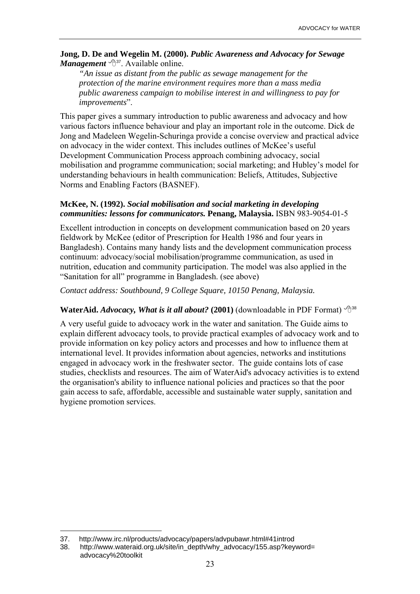#### **Jong, D. De and Wegelin M. (2000).** *Public Awareness and Advocacy for Sewage Management*  $\bigoplus_{i=1}^{37}$ . Available online.

*"An issue as distant from the public as sewage management for the protection of the marine environment requires more than a mass media public awareness campaign to mobilise interest in and willingness to pay for improvements*".

This paper gives a summary introduction to public awareness and advocacy and how various factors influence behaviour and play an important role in the outcome. Dick de Jong and Madeleen Wegelin-Schuringa provide a concise overview and practical advice on advocacy in the wider context. This includes outlines of McKee's useful Development Communication Process approach combining advocacy, social mobilisation and programme communication; social marketing; and Hubley's model for understanding behaviours in health communication: Beliefs, Attitudes, Subjective Norms and Enabling Factors (BASNEF).

#### **McKee, N. (1992).** *Social mobilisation and social marketing in developing communities: lessons for communicators.* **Penang, Malaysia.** ISBN 983-9054-01-5

Excellent introduction in concepts on development communication based on 20 years fieldwork by McKee (editor of Prescription for Health 1986 and four years in Bangladesh). Contains many handy lists and the development communication process continuum: advocacy/social mobilisation/programme communication, as used in nutrition, education and community participation. The model was also applied in the ìSanitation for allî programme in Bangladesh. (see above)

*Contact address: Southbound, 9 College Square, 10150 Penang, Malaysia.* 

#### **WaterAid.** *Advocacy, What is it all about?* (2001) (downloadable in PDF Format)  $\hat{\theta}^{38}$

A very useful guide to advocacy work in the water and sanitation. The Guide aims to explain different advocacy tools, to provide practical examples of advocacy work and to provide information on key policy actors and processes and how to influence them at international level. It provides information about agencies, networks and institutions engaged in advocacy work in the freshwater sector. The guide contains lots of case studies, checklists and resources. The aim of WaterAid's advocacy activities is to extend the organisation's ability to influence national policies and practices so that the poor gain access to safe, affordable, accessible and sustainable water supply, sanitation and hygiene promotion services.

<sup>37.</sup> http://www.irc.nl/products/advocacy/papers/advpubawr.html#41introd

<sup>38.</sup> http://www.wateraid.org.uk/site/in\_depth/why\_advocacy/155.asp?keyword= advocacy%20toolkit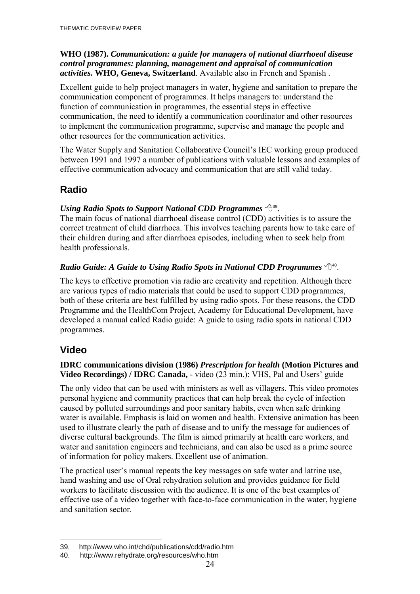#### **WHO (1987).** *Communication: a guide for managers of national diarrhoeal disease control programmes: planning, management and appraisal of communication activities***. WHO, Geneva, Switzerland**. Available also in French and Spanish .

Excellent guide to help project managers in water, hygiene and sanitation to prepare the communication component of programmes. It helps managers to: understand the function of communication in programmes, the essential steps in effective communication, the need to identify a communication coordinator and other resources to implement the communication programme, supervise and manage the people and other resources for the communication activities.

The Water Supply and Sanitation Collaborative Council's IEC working group produced between 1991 and 1997 a number of publications with valuable lessons and examples of effective communication advocacy and communication that are still valid today.

## **Radio**

### *Using Radio Spots to Support National CDD Programmes*  $\oplus$ <sup>39</sup>.

The main focus of national diarrhoeal disease control (CDD) activities is to assure the correct treatment of child diarrhoea. This involves teaching parents how to take care of their children during and after diarrhoea episodes, including when to seek help from health professionals.

#### *Radio Guide: A Guide to Using Radio Spots in National CDD Programmes*  $\Theta$ <sup>40</sup>.

The keys to effective promotion via radio are creativity and repetition. Although there are various types of radio materials that could be used to support CDD programmes, both of these criteria are best fulfilled by using radio spots. For these reasons, the CDD Programme and the HealthCom Project, Academy for Educational Development, have developed a manual called Radio guide: A guide to using radio spots in national CDD programmes.

## **Video**

 $\overline{a}$ 

#### **IDRC communications division (1986)** *Prescription for health* **(Motion Pictures and Video Recordings) / IDRC Canada, -** video (23 min.): VHS, Pal and Users' guide

The only video that can be used with ministers as well as villagers. This video promotes personal hygiene and community practices that can help break the cycle of infection caused by polluted surroundings and poor sanitary habits, even when safe drinking water is available. Emphasis is laid on women and health. Extensive animation has been used to illustrate clearly the path of disease and to unify the message for audiences of diverse cultural backgrounds. The film is aimed primarily at health care workers, and water and sanitation engineers and technicians, and can also be used as a prime source of information for policy makers. Excellent use of animation.

The practical user's manual repeats the key messages on safe water and latrine use, hand washing and use of Oral rehydration solution and provides guidance for field workers to facilitate discussion with the audience. It is one of the best examples of effective use of a video together with face-to-face communication in the water, hygiene and sanitation sector.

<sup>39</sup>. http://www.who.int/chd/publications/cdd/radio.htm

<sup>40.</sup> http://www.rehydrate.org/resources/who.htm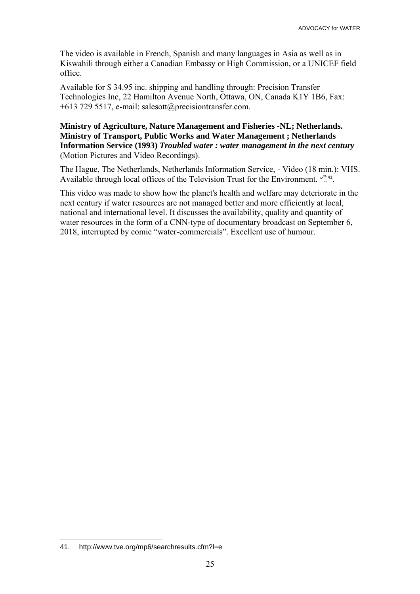The video is available in French, Spanish and many languages in Asia as well as in Kiswahili through either a Canadian Embassy or High Commission, or a UNICEF field office.

Available for \$ 34.95 inc. shipping and handling through: Precision Transfer Technologies Inc, 22 Hamilton Avenue North, Ottawa, ON, Canada K1Y 1B6, Fax: +613 729 5517, e-mail: salesott@precisiontransfer.com.

#### **Ministry of Agriculture, Nature Management and Fisheries -NL; Netherlands. Ministry of Transport, Public Works and Water Management ; Netherlands Information Service (1993)** *Troubled water : water management in the next century* (Motion Pictures and Video Recordings).

The Hague, The Netherlands, Netherlands Information Service, - Video (18 min.): VHS. Available through local offices of the Television Trust for the Environment.  $\mathcal{A}^{44}$ .

This video was made to show how the planet's health and welfare may deteriorate in the next century if water resources are not managed better and more efficiently at local, national and international level. It discusses the availability, quality and quantity of water resources in the form of a CNN-type of documentary broadcast on September 6, 2018, interrupted by comic "water-commercials". Excellent use of humour.

 $\overline{a}$ 41. http://www.tve.org/mp6/searchresults.cfm?l=e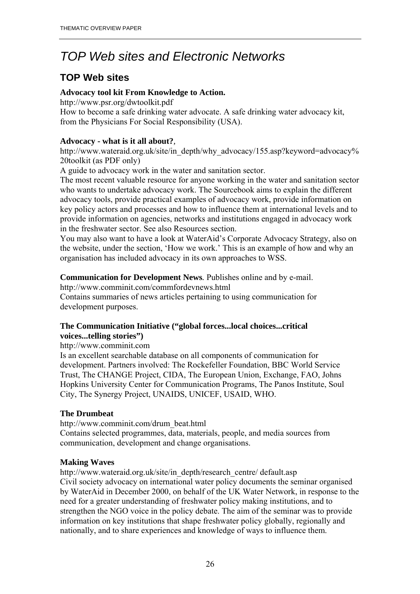# *TOP Web sites and Electronic Networks*

## **TOP Web sites**

#### **Advocacy tool kit From Knowledge to Action.**

http://www.psr.org/dwtoolkit.pdf

How to become a safe drinking water advocate. A safe drinking water advocacy kit, from the Physicians For Social Responsibility (USA).

#### **Advocacy - what is it all about?***,*

http://www.wateraid.org.uk/site/in\_depth/why\_advocacy/155.asp?keyword=advocacy% 20toolkit (as PDF only)

A guide to advocacy work in the water and sanitation sector.

The most recent valuable resource for anyone working in the water and sanitation sector who wants to undertake advocacy work. The Sourcebook aims to explain the different advocacy tools, provide practical examples of advocacy work, provide information on key policy actors and processes and how to influence them at international levels and to provide information on agencies, networks and institutions engaged in advocacy work in the freshwater sector. See also Resources section.

You may also want to have a look at WaterAid's Corporate Advocacy Strategy, also on the website, under the section, 'How we work.' This is an example of how and why an organisation has included advocacy in its own approaches to WSS.

#### **Communication for Development News***.* Publishes online and by e-mail.

http://www.comminit.com/commfordevnews.html

Contains summaries of news articles pertaining to using communication for development purposes.

#### **The Communication Initiative ("global forces...local choices...critical voices...telling stories")**

http://www.comminit.com

Is an excellent searchable database on all components of communication for development. Partners involved: The Rockefeller Foundation, BBC World Service Trust, The CHANGE Project, CIDA, The European Union, Exchange, FAO, Johns Hopkins University Center for Communication Programs, The Panos Institute, Soul City, The Synergy Project, UNAIDS, UNICEF, USAID, WHO.

### **The Drumbeat**

http://www.comminit.com/drum\_beat.html Contains selected programmes, data, materials, people, and media sources from communication, development and change organisations.

#### **Making Waves**

http://www.wateraid.org.uk/site/in\_depth/research\_centre/ default.asp Civil society advocacy on international water policy documents the seminar organised by WaterAid in December 2000, on behalf of the UK Water Network, in response to the need for a greater understanding of freshwater policy making institutions, and to strengthen the NGO voice in the policy debate. The aim of the seminar was to provide information on key institutions that shape freshwater policy globally, regionally and nationally, and to share experiences and knowledge of ways to influence them.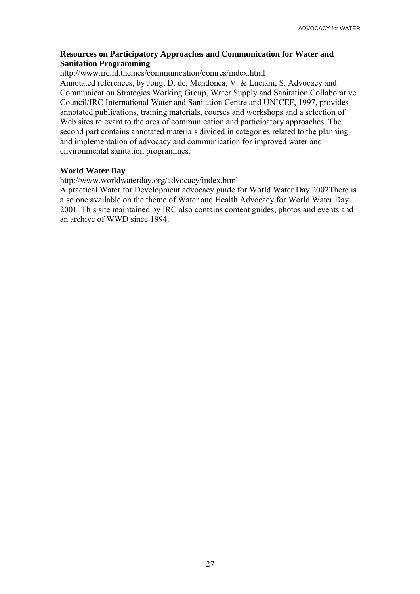#### **Resources on Participatory Approaches and Communication for Water and Sanitation Programming**

http://www.irc.nl.themes/communication/comres/index.html

Annotated references, by Jong, D. de, Mendonca, V. & Luciani, S. Advocacy and Communication Strategies Working Group, Water Supply and Sanitation Collaborative Council/IRC International Water and Sanitation Centre and UNICEF, 1997, provides annotated publications, training materials, courses and workshops and a selection of Web sites relevant to the area of communication and participatory approaches. The second part contains annotated materials divided in categories related to the planning and implementation of advocacy and communication for improved water and environmental sanitation programmes.

#### **World Water Day**

http://www.worldwaterday.org/advocacy/index.html

A practical Water for Development advocacy guide for World Water Day 2002There is also one available on the theme of Water and Health Advocacy for World Water Day 2001. This site maintained by IRC also contains content guides, photos and events and an archive of WWD since 1994.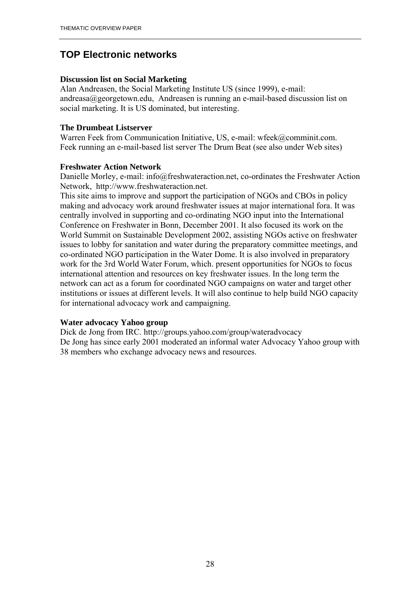## **TOP Electronic networks**

#### **Discussion list on Social Marketing**

Alan Andreasen, the Social Marketing Institute US (since 1999), e-mail: andreasa@georgetown.edu, Andreasen is running an e-mail-based discussion list on social marketing. It is US dominated, but interesting.

#### **The Drumbeat Listserver**

Warren Feek from Communication Initiative, US, e-mail: wfeek@comminit.com. Feek running an e-mail-based list server The Drum Beat (see also under Web sites)

#### **Freshwater Action Network**

Danielle Morley, e-mail: info@freshwateraction.net, co-ordinates the Freshwater Action Network, http://www.freshwateraction.net.

This site aims to improve and support the participation of NGOs and CBOs in policy making and advocacy work around freshwater issues at major international fora. It was centrally involved in supporting and co-ordinating NGO input into the International Conference on Freshwater in Bonn, December 2001. It also focused its work on the World Summit on Sustainable Development 2002, assisting NGOs active on freshwater issues to lobby for sanitation and water during the preparatory committee meetings, and co-ordinated NGO participation in the Water Dome. It is also involved in preparatory work for the 3rd World Water Forum, which. present opportunities for NGOs to focus international attention and resources on key freshwater issues. In the long term the network can act as a forum for coordinated NGO campaigns on water and target other institutions or issues at different levels. It will also continue to help build NGO capacity for international advocacy work and campaigning.

#### **Water advocacy Yahoo group**

Dick de Jong from IRC. http://groups.yahoo.com/group/wateradvocacy De Jong has since early 2001 moderated an informal water Advocacy Yahoo group with 38 members who exchange advocacy news and resources.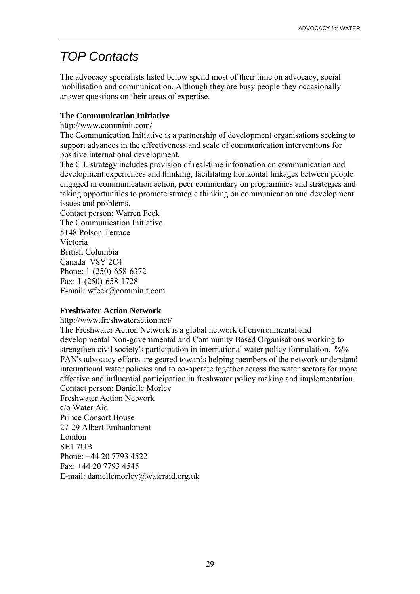# *TOP Contacts*

The advocacy specialists listed below spend most of their time on advocacy, social mobilisation and communication. Although they are busy people they occasionally answer questions on their areas of expertise.

#### **The Communication Initiative**

http://www.comminit.com/

The Communication Initiative is a partnership of development organisations seeking to support advances in the effectiveness and scale of communication interventions for positive international development.

The C.I. strategy includes provision of real-time information on communication and development experiences and thinking, facilitating horizontal linkages between people engaged in communication action, peer commentary on programmes and strategies and taking opportunities to promote strategic thinking on communication and development issues and problems.

Contact person: Warren Feek The Communication Initiative 5148 Polson Terrace Victoria British Columbia Canada V8Y 2C4 Phone: 1-(250)-658-6372 Fax: 1-(250)-658-1728 E-mail: wfeek@comminit.com

#### **Freshwater Action Network**

http://www.freshwateraction.net/

The Freshwater Action Network is a global network of environmental and developmental Non-governmental and Community Based Organisations working to strengthen civil society's participation in international water policy formulation. %% FAN's advocacy efforts are geared towards helping members of the network understand international water policies and to co-operate together across the water sectors for more effective and influential participation in freshwater policy making and implementation. Contact person: Danielle Morley Freshwater Action Network c/o Water Aid Prince Consort House 27-29 Albert Embankment London SE1 7UB Phone: +44 20 7793 4522

Fax: +44 20 7793 4545 E-mail: daniellemorley@wateraid.org.uk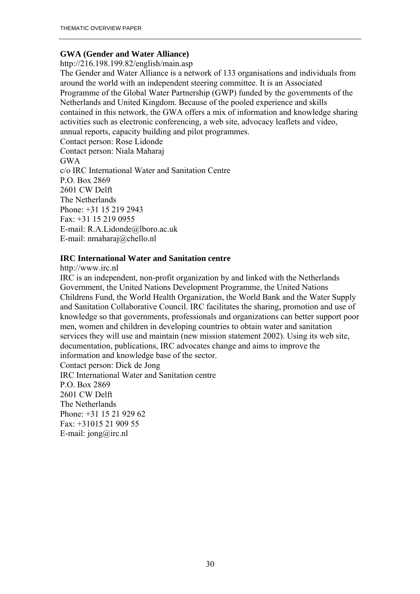#### **GWA (Gender and Water Alliance)**

http://216.198.199.82/english/main.asp

The Gender and Water Alliance is a network of 133 organisations and individuals from around the world with an independent steering committee. It is an Associated Programme of the Global Water Partnership (GWP) funded by the governments of the Netherlands and United Kingdom. Because of the pooled experience and skills contained in this network, the GWA offers a mix of information and knowledge sharing activities such as electronic conferencing, a web site, advocacy leaflets and video, annual reports, capacity building and pilot programmes.

Contact person: Rose Lidonde Contact person: Niala Maharaj GWA c/o IRC International Water and Sanitation Centre P.O. Box 2869 2601 CW Delft The Netherlands Phone: +31 15 219 2943 Fax: +31 15 219 0955 E-mail: R.A.Lidonde@lboro.ac.uk E-mail: nmaharaj@chello.nl

#### **IRC International Water and Sanitation centre**

http://www.irc.nl

IRC is an independent, non-profit organization by and linked with the Netherlands Government, the United Nations Development Programme, the United Nations Childrens Fund, the World Health Organization, the World Bank and the Water Supply and Sanitation Collaborative Council. IRC facilitates the sharing, promotion and use of knowledge so that governments, professionals and organizations can better support poor men, women and children in developing countries to obtain water and sanitation services they will use and maintain (new mission statement 2002). Using its web site, documentation, publications, IRC advocates change and aims to improve the information and knowledge base of the sector. Contact person: Dick de Jong IRC International Water and Sanitation centre P.O. Box 2869 2601 CW Delft

The Netherlands Phone: +31 15 21 929 62 Fax: +31015 21 909 55 E-mail: jong@irc.nl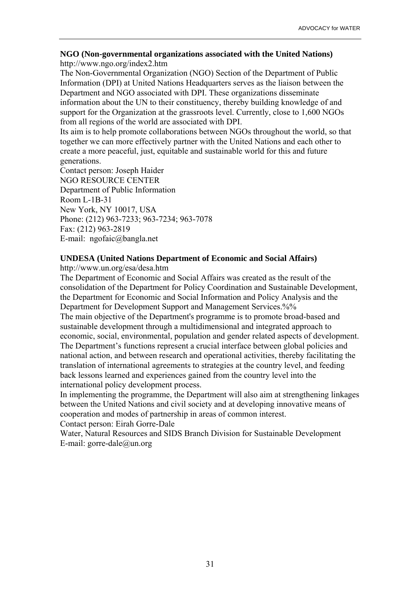#### **NGO (Non-governmental organizations associated with the United Nations)**  http://www.ngo.org/index2.htm

The Non-Governmental Organization (NGO) Section of the Department of Public Information (DPI) at United Nations Headquarters serves as the liaison between the Department and NGO associated with DPI. These organizations disseminate information about the UN to their constituency, thereby building knowledge of and support for the Organization at the grassroots level. Currently, close to 1,600 NGOs from all regions of the world are associated with DPI.

Its aim is to help promote collaborations between NGOs throughout the world, so that together we can more effectively partner with the United Nations and each other to create a more peaceful, just, equitable and sustainable world for this and future generations.

Contact person: Joseph Haider NGO RESOURCE CENTER Department of Public Information Room L-1B-31 New York, NY 10017, USA Phone: (212) 963-7233; 963-7234; 963-7078 Fax: (212) 963-2819 E-mail: ngofaic@bangla.net

#### **UNDESA (United Nations Department of Economic and Social Affairs)**

http://www.un.org/esa/desa.htm

The Department of Economic and Social Affairs was created as the result of the consolidation of the Department for Policy Coordination and Sustainable Development, the Department for Economic and Social Information and Policy Analysis and the Department for Development Support and Management Services.%%

The main objective of the Department's programme is to promote broad-based and sustainable development through a multidimensional and integrated approach to economic, social, environmental, population and gender related aspects of development. The Department's functions represent a crucial interface between global policies and national action, and between research and operational activities, thereby facilitating the translation of international agreements to strategies at the country level, and feeding back lessons learned and experiences gained from the country level into the international policy development process.

In implementing the programme, the Department will also aim at strengthening linkages between the United Nations and civil society and at developing innovative means of cooperation and modes of partnership in areas of common interest.

Contact person: Eirah Gorre-Dale

Water, Natural Resources and SIDS Branch Division for Sustainable Development E-mail: gorre-dale@un.org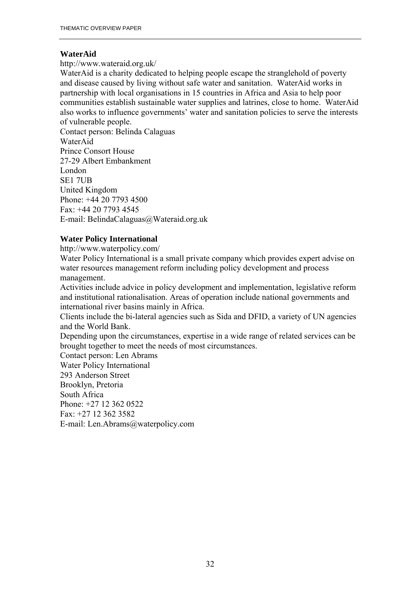#### **WaterAid**

http://www.wateraid.org.uk/

WaterAid is a charity dedicated to helping people escape the stranglehold of poverty and disease caused by living without safe water and sanitation. WaterAid works in partnership with local organisations in 15 countries in Africa and Asia to help poor communities establish sustainable water supplies and latrines, close to home. WaterAid also works to influence governments' water and sanitation policies to serve the interests of vulnerable people.

Contact person: Belinda Calaguas WaterAid Prince Consort House 27-29 Albert Embankment London SE1 7UB United Kingdom Phone: +44 20 7793 4500 Fax: +44 20 7793 4545 E-mail: BelindaCalaguas@Wateraid.org.uk

#### **Water Policy International**

http://www.waterpolicy.com/

Water Policy International is a small private company which provides expert advise on water resources management reform including policy development and process management.

Activities include advice in policy development and implementation, legislative reform and institutional rationalisation. Areas of operation include national governments and international river basins mainly in Africa.

Clients include the bi-lateral agencies such as Sida and DFID, a variety of UN agencies and the World Bank.

Depending upon the circumstances, expertise in a wide range of related services can be brought together to meet the needs of most circumstances.

Contact person: Len Abrams Water Policy International 293 Anderson Street

Brooklyn, Pretoria

South Africa

Phone: +27 12 362 0522

 $Fax: +27123623582$ 

E-mail: Len.Abrams@waterpolicy.com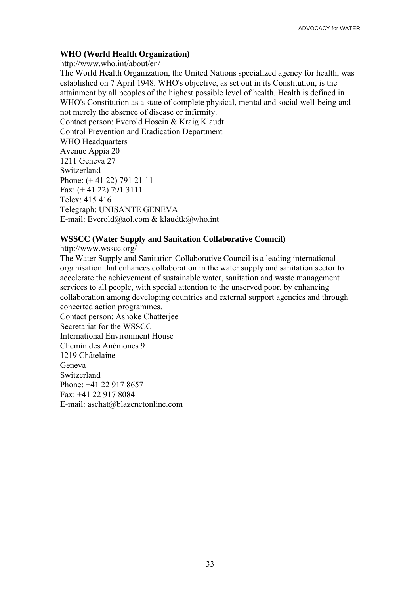#### **WHO (World Health Organization)**

http://www.who.int/about/en/ The World Health Organization, the United Nations specialized agency for health, was established on 7 April 1948. WHO's objective, as set out in its Constitution, is the attainment by all peoples of the highest possible level of health. Health is defined in WHO's Constitution as a state of complete physical, mental and social well-being and not merely the absence of disease or infirmity. Contact person: Everold Hosein & Kraig Klaudt Control Prevention and Eradication Department WHO Headquarters Avenue Appia 20 1211 Geneva 27 Switzerland Phone: (+ 41 22) 791 21 11 Fax: (+ 41 22) 791 3111 Telex: 415 416 Telegraph: UNISANTE GENEVA

E-mail: Everold@aol.com & klaudtk@who.int

#### **WSSCC (Water Supply and Sanitation Collaborative Council)**

http://www.wsscc.org/

The Water Supply and Sanitation Collaborative Council is a leading international organisation that enhances collaboration in the water supply and sanitation sector to accelerate the achievement of sustainable water, sanitation and waste management services to all people, with special attention to the unserved poor, by enhancing collaboration among developing countries and external support agencies and through concerted action programmes.

Contact person: Ashoke Chatterjee Secretariat for the WSSCC International Environment House Chemin des AnÈmones 9 1219 Châtelaine Geneva Switzerland Phone: +41 22 917 8657  $Fax \cdot +41$  22 917 8084 E-mail: aschat@blazenetonline.com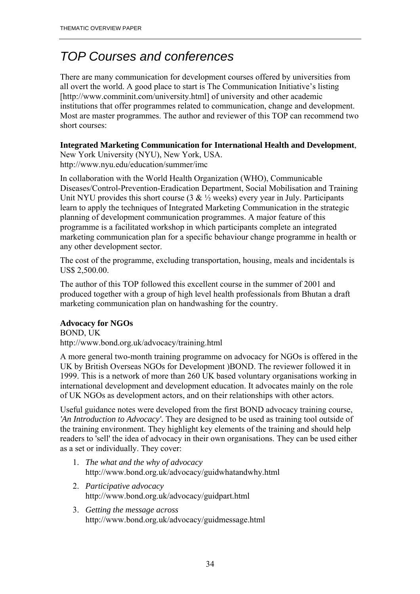# *TOP Courses and conferences*

There are many communication for development courses offered by universities from all overt the world. A good place to start is The Communication Initiative's listing [http://www.comminit.com/university.html] of university and other academic institutions that offer programmes related to communication, change and development. Most are master programmes. The author and reviewer of this TOP can recommend two short courses:

#### **Integrated Marketing Communication for International Health and Development**,

New York University (NYU), New York, USA. http://www.nyu.edu/education/summer/imc

In collaboration with the World Health Organization (WHO), Communicable Diseases/Control-Prevention-Eradication Department, Social Mobilisation and Training Unit NYU provides this short course  $(3 \& ½$  weeks) every year in July. Participants learn to apply the techniques of Integrated Marketing Communication in the strategic planning of development communication programmes. A major feature of this programme is a facilitated workshop in which participants complete an integrated marketing communication plan for a specific behaviour change programme in health or any other development sector.

The cost of the programme, excluding transportation, housing, meals and incidentals is US\$ 2,500.00.

The author of this TOP followed this excellent course in the summer of 2001 and produced together with a group of high level health professionals from Bhutan a draft marketing communication plan on handwashing for the country.

#### **Advocacy for NGOs**

BOND, UK http://www.bond.org.uk/advocacy/training.html

A more general two-month training programme on advocacy for NGOs is offered in the UK by British Overseas NGOs for Development )BOND. The reviewer followed it in 1999. This is a network of more than 260 UK based voluntary organisations working in international development and development education. It advocates mainly on the role of UK NGOs as development actors, and on their relationships with other actors.

Useful guidance notes were developed from the first BOND advocacy training course, *'An Introduction to Advocacy'.* They are designed to be used as training tool outside of the training environment. They highlight key elements of the training and should help readers to 'sell' the idea of advocacy in their own organisations. They can be used either as a set or individually. They cover:

- 1. *The what and the why of advocacy* http://www.bond.org.uk/advocacy/guidwhatandwhy.html
- 2. *Participative advocacy* http://www.bond.org.uk/advocacy/guidpart.html
- 3. *Getting the message across* http://www.bond.org.uk/advocacy/guidmessage.html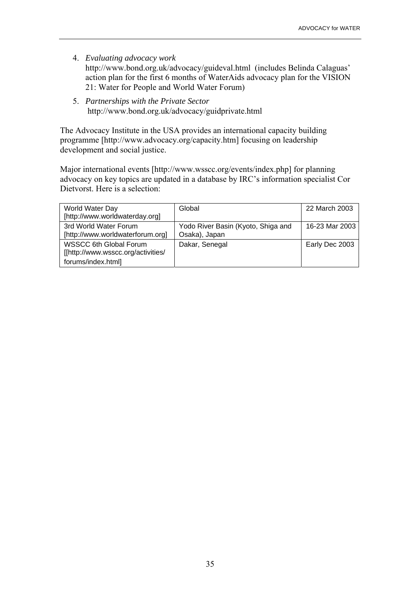- 4. *Evaluating advocacy work* http://www.bond.org.uk/advocacy/guideval.html (includes Belinda Calaguas' action plan for the first 6 months of WaterAids advocacy plan for the VISION 21: Water for People and World Water Forum)
- 5. *Partnerships with the Private Sector*  http://www.bond.org.uk/advocacy/guidprivate.html

The Advocacy Institute in the USA provides an international capacity building programme [http://www.advocacy.org/capacity.htm] focusing on leadership development and social justice.

Major international events [http://www.wsscc.org/events/index.php] for planning advocacy on key topics are updated in a database by IRC's information specialist Cor Dietvorst. Here is a selection:

| World Water Day                    | Global                             | 22 March 2003  |
|------------------------------------|------------------------------------|----------------|
| [http://www.worldwaterday.org]     |                                    |                |
| 3rd World Water Forum              | Yodo River Basin (Kyoto, Shiga and | 16-23 Mar 2003 |
| [http://www.worldwaterforum.org]   | Osaka), Japan                      |                |
| <b>WSSCC 6th Global Forum</b>      | Dakar, Senegal                     | Early Dec 2003 |
| [[http://www.wsscc.org/activities/ |                                    |                |
| forums/index.html]                 |                                    |                |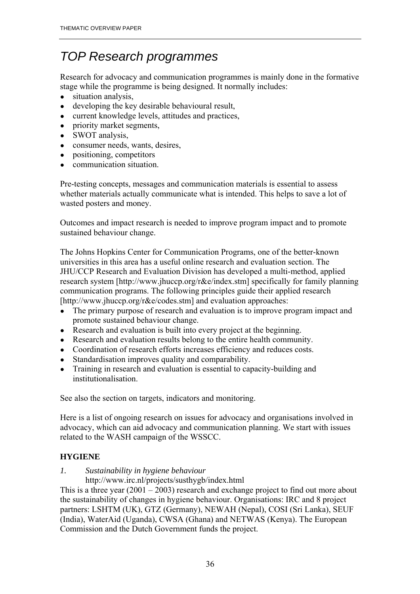# *TOP Research programmes*

Research for advocacy and communication programmes is mainly done in the formative stage while the programme is being designed. It normally includes:

- situation analysis,
- developing the key desirable behavioural result,
- current knowledge levels, attitudes and practices,
- priority market segments,
- SWOT analysis,
- consumer needs, wants, desires,
- positioning, competitors
- communication situation.

Pre-testing concepts, messages and communication materials is essential to assess whether materials actually communicate what is intended. This helps to save a lot of wasted posters and money.

Outcomes and impact research is needed to improve program impact and to promote sustained behaviour change.

The Johns Hopkins Center for Communication Programs, one of the better-known universities in this area has a useful online research and evaluation section. The JHU/CCP Research and Evaluation Division has developed a multi-method, applied research system [http://www.jhuccp.org/r&e/index.stm] specifically for family planning communication programs. The following principles guide their applied research [http://www.jhuccp.org/r&e/codes.stm] and evaluation approaches:

- The primary purpose of research and evaluation is to improve program impact and promote sustained behaviour change.
- Research and evaluation is built into every project at the beginning.
- Research and evaluation results belong to the entire health community.
- Coordination of research efforts increases efficiency and reduces costs.
- Standardisation improves quality and comparability.
- Training in research and evaluation is essential to capacity-building and institutionalisation.

See also the section on targets, indicators and monitoring.

Here is a list of ongoing research on issues for advocacy and organisations involved in advocacy, which can aid advocacy and communication planning. We start with issues related to the WASH campaign of the WSSCC.

### **HYGIENE**

### *1. Sustainability in hygiene behaviour*

http://www.irc.nl/projects/susthygb/index.html

This is a three year  $(2001 – 2003)$  research and exchange project to find out more about the sustainability of changes in hygiene behaviour. Organisations: IRC and 8 project partners: LSHTM (UK), GTZ (Germany), NEWAH (Nepal), COSI (Sri Lanka), SEUF (India), WaterAid (Uganda), CWSA (Ghana) and NETWAS (Kenya). The European Commission and the Dutch Government funds the project.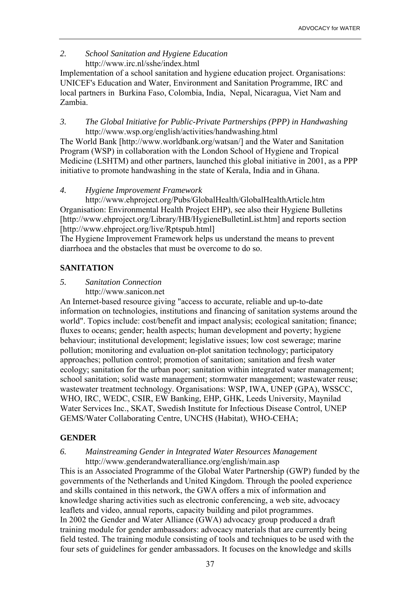#### *2. School Sanitation and Hygiene Education* http://www.irc.nl/sshe/index.html

Implementation of a school sanitation and hygiene education project. Organisations: UNICEF's Education and Water, Environment and Sanitation Programme, IRC and local partners in Burkina Faso, Colombia, India, Nepal, Nicaragua, Viet Nam and Zambia.

*3. The Global Initiative for Public-Private Partnerships (PPP) in Handwashing*  http://www.wsp.org/english/activities/handwashing.html

The World Bank [http://www.worldbank.org/watsan/] and the Water and Sanitation Program (WSP) in collaboration with the London School of Hygiene and Tropical Medicine (LSHTM) and other partners, launched this global initiative in 2001, as a PPP initiative to promote handwashing in the state of Kerala, India and in Ghana.

#### *4. Hygiene Improvement Framework*

 http://www.ehproject.org/Pubs/GlobalHealth/GlobalHealthArticle.htm Organisation: Environmental Health Project EHP), see also their Hygiene Bulletins [http://www.ehproject.org/Library/HB/HygieneBulletinList.htm] and reports section [http://www.ehproject.org/live/Rptspub.html]

The Hygiene Improvement Framework helps us understand the means to prevent diarrhoea and the obstacles that must be overcome to do so.

#### **SANITATION**

#### *5. Sanitation Connection*

http://www.sanicon.net

An Internet-based resource giving "access to accurate, reliable and up-to-date information on technologies, institutions and financing of sanitation systems around the world". Topics include: cost/benefit and impact analysis; ecological sanitation; finance; fluxes to oceans; gender; health aspects; human development and poverty; hygiene behaviour; institutional development; legislative issues; low cost sewerage; marine pollution; monitoring and evaluation on-plot sanitation technology; participatory approaches; pollution control; promotion of sanitation; sanitation and fresh water ecology; sanitation for the urban poor; sanitation within integrated water management; school sanitation; solid waste management; stormwater management; wastewater reuse; wastewater treatment technology. Organisations: WSP, IWA, UNEP (GPA), WSSCC, WHO, IRC, WEDC, CSIR, EW Banking, EHP, GHK, Leeds University, Maynilad Water Services Inc., SKAT, Swedish Institute for Infectious Disease Control, UNEP GEMS/Water Collaborating Centre, UNCHS (Habitat), WHO-CEHA;

#### **GENDER**

#### *6. Mainstreaming Gender in Integrated Water Resources Management*  http://www.genderandwateralliance.org/english/main.asp

This is an Associated Programme of the Global Water Partnership (GWP) funded by the governments of the Netherlands and United Kingdom. Through the pooled experience and skills contained in this network, the GWA offers a mix of information and knowledge sharing activities such as electronic conferencing, a web site, advocacy leaflets and video, annual reports, capacity building and pilot programmes. In 2002 the Gender and Water Alliance (GWA) advocacy group produced a draft training module for gender ambassadors: advocacy materials that are currently being field tested. The training module consisting of tools and techniques to be used with the four sets of guidelines for gender ambassadors. It focuses on the knowledge and skills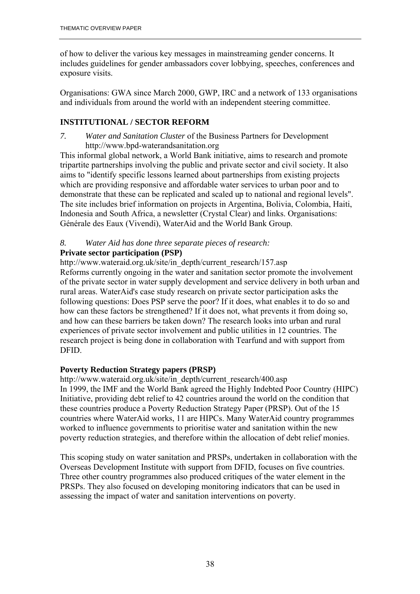of how to deliver the various key messages in mainstreaming gender concerns. It includes guidelines for gender ambassadors cover lobbying, speeches, conferences and exposure visits.

Organisations: GWA since March 2000, GWP, IRC and a network of 133 organisations and individuals from around the world with an independent steering committee.

#### **INSTITUTIONAL / SECTOR REFORM**

*7. Water and Sanitation Cluster* of the Business Partners for Development http://www.bpd-waterandsanitation.org

This informal global network, a World Bank initiative, aims to research and promote tripartite partnerships involving the public and private sector and civil society. It also aims to "identify specific lessons learned about partnerships from existing projects which are providing responsive and affordable water services to urban poor and to demonstrate that these can be replicated and scaled up to national and regional levels". The site includes brief information on projects in Argentina, Bolivia, Colombia, Haiti, Indonesia and South Africa, a newsletter (Crystal Clear) and links. Organisations: Générale des Eaux (Vivendi), WaterAid and the World Bank Group.

# *8. Water Aid has done three separate pieces of research:*

#### **Private sector participation (PSP)**

http://www.wateraid.org.uk/site/in\_depth/current\_research/157.asp Reforms currently ongoing in the water and sanitation sector promote the involvement of the private sector in water supply development and service delivery in both urban and rural areas. WaterAid's case study research on private sector participation asks the following questions: Does PSP serve the poor? If it does, what enables it to do so and how can these factors be strengthened? If it does not, what prevents it from doing so, and how can these barriers be taken down? The research looks into urban and rural experiences of private sector involvement and public utilities in 12 countries. The research project is being done in collaboration with Tearfund and with support from DFID.

#### **Poverty Reduction Strategy papers (PRSP)**

http://www.wateraid.org.uk/site/in\_depth/current\_research/400.asp In 1999, the IMF and the World Bank agreed the Highly Indebted Poor Country (HIPC) Initiative, providing debt relief to 42 countries around the world on the condition that these countries produce a Poverty Reduction Strategy Paper (PRSP). Out of the 15 countries where WaterAid works, 11 are HIPCs. Many WaterAid country programmes worked to influence governments to prioritise water and sanitation within the new poverty reduction strategies, and therefore within the allocation of debt relief monies.

This scoping study on water sanitation and PRSPs, undertaken in collaboration with the Overseas Development Institute with support from DFID, focuses on five countries. Three other country programmes also produced critiques of the water element in the PRSPs. They also focused on developing monitoring indicators that can be used in assessing the impact of water and sanitation interventions on poverty.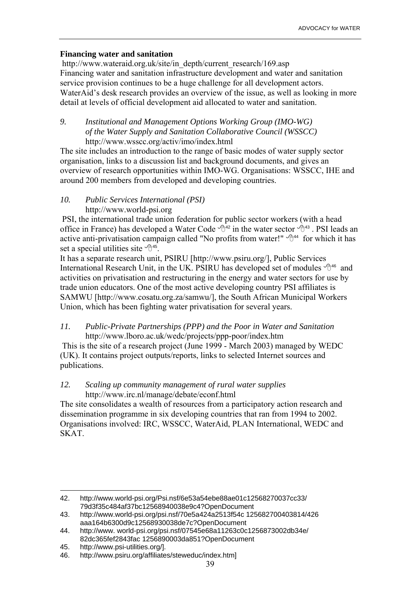#### **Financing water and sanitation**

http://www.wateraid.org.uk/site/in\_depth/current\_research/169.asp Financing water and sanitation infrastructure development and water and sanitation service provision continues to be a huge challenge for all development actors. WaterAid's desk research provides an overview of the issue, as well as looking in more detail at levels of official development aid allocated to water and sanitation.

#### *9. Institutional and Management Options Working Group (IMO-WG) of the Water Supply and Sanitation Collaborative Council (WSSCC)*  http://www.wsscc.org/activ/imo/index.html

The site includes an introduction to the range of basic modes of water supply sector organisation, links to a discussion list and background documents, and gives an overview of research opportunities within IMO-WG. Organisations: WSSCC, IHE and around 200 members from developed and developing countries.

#### *10. Public Services International (PSI)*

#### http://www.world-psi.org

 PSI, the international trade union federation for public sector workers (with a head office in France) has developed a Water Code  $\mathbb{A}^{42}$  in the water sector  $\mathbb{A}^{43}$ . PSI leads an active anti-privatisation campaign called "No profits from water!"  $\mathcal{A}^{44}$  for which it has set a special utilities site  $\sqrt{10^{45}}$ .

It has a separate research unit, PSIRU [http://www.psiru.org/], Public Services International Research Unit, in the UK. PSIRU has developed set of modules  $\sqrt{\theta^{46}}$  and activities on privatisation and restructuring in the energy and water sectors for use by trade union educators. One of the most active developing country PSI affiliates is SAMWU [http://www.cosatu.org.za/samwu/], the South African Municipal Workers Union, which has been fighting water privatisation for several years.

#### *11. Public-Private Partnerships (PPP) and the Poor in Water and Sanitation*  http://www.lboro.ac.uk/wedc/projects/ppp-poor/index.htm

 This is the site of a research project (June 1999 - March 2003) managed by WEDC (UK). It contains project outputs/reports, links to selected Internet sources and publications.

#### *12. Scaling up community management of rural water supplies*  http://www.irc.nl/manage/debate/econf.html

The site consolidates a wealth of resources from a participatory action research and dissemination programme in six developing countries that ran from 1994 to 2002. Organisations involved: IRC, WSSCC, WaterAid, PLAN International, WEDC and SKAT.

<sup>42.</sup> http://www.world-psi.org/Psi.nsf/6e53a54ebe88ae01c12568270037cc33/ 79d3f35c484af37bc12568940038e9c4?OpenDocument

<sup>43.</sup> http://www.world-psi.org/psi.nsf/70e5a424a2513f54c 125682700403814/426 aaa164b6300d9c12568930038de7c?OpenDocument

<sup>44.</sup> http://www. world-psi.org/psi.nsf/07545e68a11263c0c1256873002db34e/ 82dc365fef2843fac 1256890003da851?OpenDocument

<sup>45.</sup> http://www.psi-utilities.org/].

<sup>46.</sup> http://www.psiru.org/affiliates/steweduc/index.htm]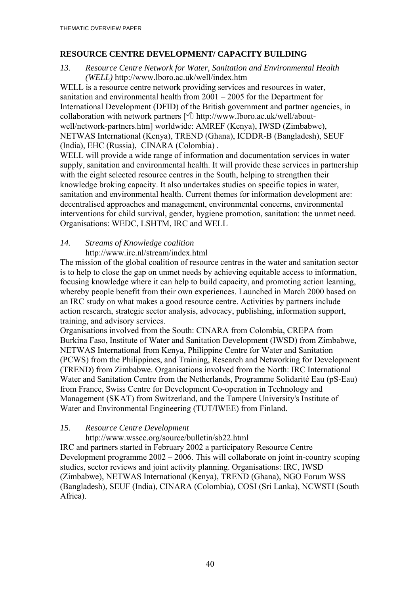#### **RESOURCE CENTRE DEVELOPMENT/ CAPACITY BUILDING**

*13. Resource Centre Network for Water, Sanitation and Environmental Health (WELL)* http://www.lboro.ac.uk/well/index.htm

WELL is a resource centre network providing services and resources in water, sanitation and environmental health from  $2001 - 2005$  for the Department for International Development (DFID) of the British government and partner agencies, in collaboration with network partners [  $\oplus$  http://www.lboro.ac.uk/well/aboutwell/network-partners.htm] worldwide: AMREF (Kenya), IWSD (Zimbabwe), NETWAS International (Kenya), TREND (Ghana), ICDDR-B (Bangladesh), SEUF (India), EHC (Russia), CINARA (Colombia) .

WELL will provide a wide range of information and documentation services in water supply, sanitation and environmental health. It will provide these services in partnership with the eight selected resource centres in the South, helping to strengthen their knowledge broking capacity. It also undertakes studies on specific topics in water, sanitation and environmental health. Current themes for information development are: decentralised approaches and management, environmental concerns, environmental interventions for child survival, gender, hygiene promotion, sanitation: the unmet need. Organisations: WEDC, LSHTM, IRC and WELL

#### *14. Streams of Knowledge coalition*  http://www.irc.nl/stream/index.html

The mission of the global coalition of resource centres in the water and sanitation sector is to help to close the gap on unmet needs by achieving equitable access to information, focusing knowledge where it can help to build capacity, and promoting action learning, whereby people benefit from their own experiences. Launched in March 2000 based on an IRC study on what makes a good resource centre. Activities by partners include action research, strategic sector analysis, advocacy, publishing, information support,

training, and advisory services.

Organisations involved from the South: CINARA from Colombia, CREPA from Burkina Faso, Institute of Water and Sanitation Development (IWSD) from Zimbabwe, NETWAS International from Kenya, Philippine Centre for Water and Sanitation (PCWS) from the Philippines, and Training, Research and Networking for Development (TREND) from Zimbabwe. Organisations involved from the North: IRC International Water and Sanitation Centre from the Netherlands, Programme Solidarité Eau (pS-Eau) from France, Swiss Centre for Development Co-operation in Technology and Management (SKAT) from Switzerland, and the Tampere University's Institute of Water and Environmental Engineering (TUT/IWEE) from Finland.

#### *15. Resource Centre Development*

#### http://www.wsscc.org/source/bulletin/sb22.html

IRC and partners started in February 2002 a participatory Resource Centre Development programme  $2002 - 2006$ . This will collaborate on joint in-country scoping studies, sector reviews and joint activity planning. Organisations: IRC, IWSD (Zimbabwe), NETWAS International (Kenya), TREND (Ghana), NGO Forum WSS (Bangladesh), SEUF (India), CINARA (Colombia), COSI (Sri Lanka), NCWSTI (South Africa).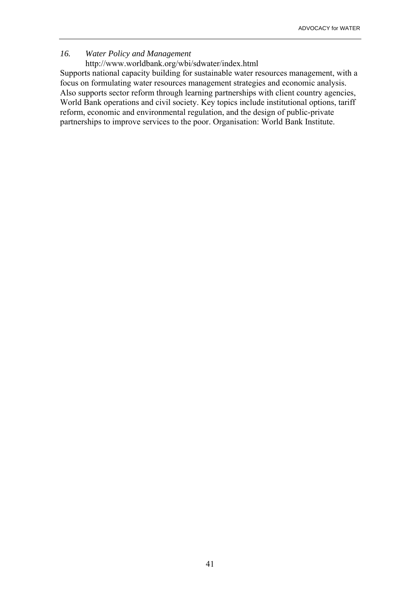#### *16. Water Policy and Management*

http://www.worldbank.org/wbi/sdwater/index.html

Supports national capacity building for sustainable water resources management, with a focus on formulating water resources management strategies and economic analysis. Also supports sector reform through learning partnerships with client country agencies, World Bank operations and civil society. Key topics include institutional options, tariff reform, economic and environmental regulation, and the design of public-private partnerships to improve services to the poor. Organisation: World Bank Institute.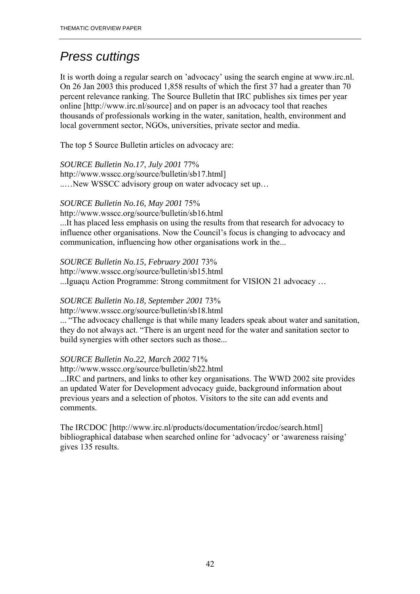# *Press cuttings*

It is worth doing a regular search on 'advocacy' using the search engine at www.irc.nl. On 26 Jan 2003 this produced 1,858 results of which the first 37 had a greater than 70 percent relevance ranking. The Source Bulletin that IRC publishes six times per year online [http://www.irc.nl/source] and on paper is an advocacy tool that reaches thousands of professionals working in the water, sanitation, health, environment and local government sector, NGOs, universities, private sector and media.

The top 5 Source Bulletin articles on advocacy are:

*SOURCE Bulletin No.17*, *July 2001* 77% http://www.wsscc.org/source/bulletin/sb17.html]

....New WSSCC advisory group on water advocacy set up...

#### *SOURCE Bulletin No.16, May 2001* 75%

http://www.wsscc.org/source/bulletin/sb16.html

...It has placed less emphasis on using the results from that research for advocacy to influence other organisations. Now the Council's focus is changing to advocacy and communication, influencing how other organisations work in the...

#### *SOURCE Bulletin No.15, February 2001* 73%

http://www.wsscc.org/source/bulletin/sb15.html ...Iguaçu Action Programme: Strong commitment for VISION 21 advocacy ...

#### *SOURCE Bulletin No.18, September 2001* 73%

http://www.wsscc.org/source/bulletin/sb18.html

... "The advocacy challenge is that while many leaders speak about water and sanitation, they do not always act. "There is an urgent need for the water and sanitation sector to build synergies with other sectors such as those...

#### *SOURCE Bulletin No.22, March 2002* 71%

http://www.wsscc.org/source/bulletin/sb22.html

...IRC and partners, and links to other key organisations. The WWD 2002 site provides an updated Water for Development advocacy guide, background information about previous years and a selection of photos. Visitors to the site can add events and comments.

The IRCDOC [http://www.irc.nl/products/documentation/ircdoc/search.html] bibliographical database when searched online for 'advocacy' or 'awareness raising' gives 135 results.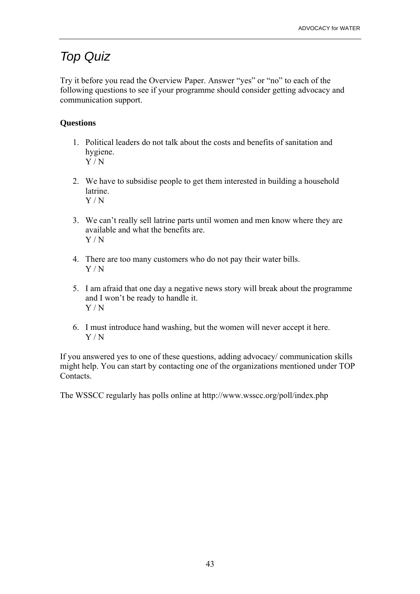## *Top Quiz*

Try it before you read the Overview Paper. Answer "yes" or "no" to each of the following questions to see if your programme should consider getting advocacy and communication support.

#### **Questions**

- 1. Political leaders do not talk about the costs and benefits of sanitation and hygiene.  $\overline{Y/N}$
- 2. We have to subsidise people to get them interested in building a household latrine. Y / N
- 3. We can't really sell latrine parts until women and men know where they are available and what the benefits are. Y / N
- 4. There are too many customers who do not pay their water bills. Y / N
- 5. I am afraid that one day a negative news story will break about the programme and I won't be ready to handle it. Y / N
- 6. I must introduce hand washing, but the women will never accept it here. Y / N

If you answered yes to one of these questions, adding advocacy/ communication skills might help. You can start by contacting one of the organizations mentioned under TOP Contacts.

The WSSCC regularly has polls online at http://www.wsscc.org/poll/index.php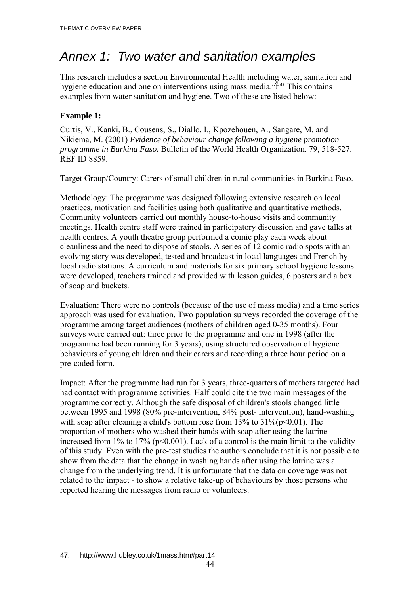## *Annex 1: Two water and sanitation examples*

This research includes a section Environmental Health including water, sanitation and hygiene education and one on interventions using mass media.  $\mathbb{B}^{47}$  This contains examples from water sanitation and hygiene. Two of these are listed below:

#### **Example 1:**

Curtis, V., Kanki, B., Cousens, S., Diallo, I., Kpozehouen, A., Sangare, M. and Nikiema, M. (2001) *Evidence of behaviour change following a hygiene promotion programme in Burkina Faso.* Bulletin of the World Health Organization. 79, 518-527. REF ID 8859.

Target Group/Country: Carers of small children in rural communities in Burkina Faso.

Methodology: The programme was designed following extensive research on local practices, motivation and facilities using both qualitative and quantitative methods. Community volunteers carried out monthly house-to-house visits and community meetings. Health centre staff were trained in participatory discussion and gave talks at health centres. A youth theatre group performed a comic play each week about cleanliness and the need to dispose of stools. A series of 12 comic radio spots with an evolving story was developed, tested and broadcast in local languages and French by local radio stations. A curriculum and materials for six primary school hygiene lessons were developed, teachers trained and provided with lesson guides, 6 posters and a box of soap and buckets.

Evaluation: There were no controls (because of the use of mass media) and a time series approach was used for evaluation. Two population surveys recorded the coverage of the programme among target audiences (mothers of children aged 0-35 months). Four surveys were carried out: three prior to the programme and one in 1998 (after the programme had been running for 3 years), using structured observation of hygiene behaviours of young children and their carers and recording a three hour period on a pre-coded form.

Impact: After the programme had run for 3 years, three-quarters of mothers targeted had had contact with programme activities. Half could cite the two main messages of the programme correctly. Although the safe disposal of children's stools changed little between 1995 and 1998 (80% pre-intervention, 84% post- intervention), hand-washing with soap after cleaning a child's bottom rose from  $13\%$  to  $31\%$  ( $p<0.01$ ). The proportion of mothers who washed their hands with soap after using the latrine increased from 1% to 17% ( $p<0.001$ ). Lack of a control is the main limit to the validity of this study. Even with the pre-test studies the authors conclude that it is not possible to show from the data that the change in washing hands after using the latrine was a change from the underlying trend. It is unfortunate that the data on coverage was not related to the impact - to show a relative take-up of behaviours by those persons who reported hearing the messages from radio or volunteers.

 $\overline{a}$ 47. http://www.hubley.co.uk/1mass.htm#part14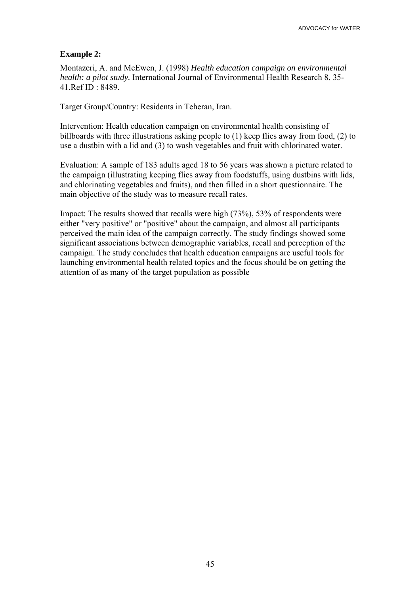#### **Example 2:**

Montazeri, A. and McEwen, J. (1998) *Health education campaign on environmental health: a pilot study.* International Journal of Environmental Health Research 8, 35- 41.Ref ID : 8489.

Target Group/Country: Residents in Teheran, Iran.

Intervention: Health education campaign on environmental health consisting of billboards with three illustrations asking people to (1) keep flies away from food, (2) to use a dustbin with a lid and (3) to wash vegetables and fruit with chlorinated water.

Evaluation: A sample of 183 adults aged 18 to 56 years was shown a picture related to the campaign (illustrating keeping flies away from foodstuffs, using dustbins with lids, and chlorinating vegetables and fruits), and then filled in a short questionnaire. The main objective of the study was to measure recall rates.

Impact: The results showed that recalls were high (73%), 53% of respondents were either "very positive" or "positive" about the campaign, and almost all participants perceived the main idea of the campaign correctly. The study findings showed some significant associations between demographic variables, recall and perception of the campaign. The study concludes that health education campaigns are useful tools for launching environmental health related topics and the focus should be on getting the attention of as many of the target population as possible